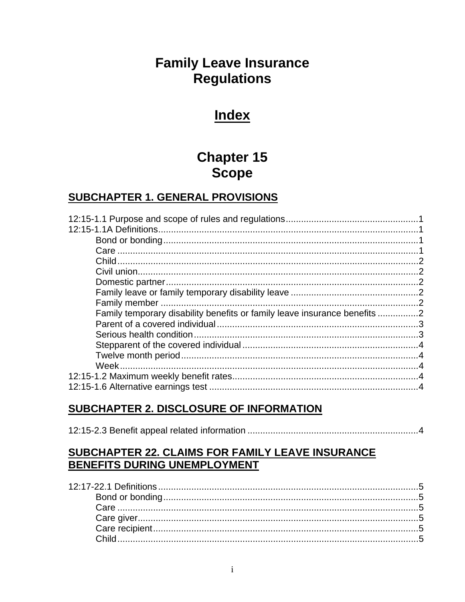# **Family Leave Insurance Regulations**

# **Index**

# **Chapter 15 Scope**

# **SUBCHAPTER 1. GENERAL PROVISIONS**

| Family temporary disability benefits or family leave insurance benefits 2 |  |
|---------------------------------------------------------------------------|--|
|                                                                           |  |
|                                                                           |  |
|                                                                           |  |
|                                                                           |  |
|                                                                           |  |
|                                                                           |  |
|                                                                           |  |

# SUBCHAPTER 2. DISCLOSURE OF INFORMATION

|--|--|

# SUBCHAPTER 22. CLAIMS FOR FAMILY LEAVE INSURANCE BENEFITS DURING UNEMPLOYMENT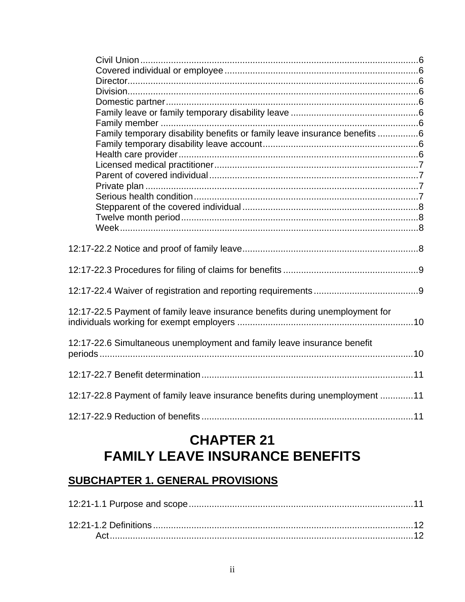| Family temporary disability benefits or family leave insurance benefits 6     |  |
|-------------------------------------------------------------------------------|--|
|                                                                               |  |
|                                                                               |  |
|                                                                               |  |
|                                                                               |  |
|                                                                               |  |
|                                                                               |  |
|                                                                               |  |
|                                                                               |  |
|                                                                               |  |
|                                                                               |  |
|                                                                               |  |
|                                                                               |  |
|                                                                               |  |
| 12:17-22.5 Payment of family leave insurance benefits during unemployment for |  |
| 12:17-22.6 Simultaneous unemployment and family leave insurance benefit       |  |
|                                                                               |  |
| 12:17-22.8 Payment of family leave insurance benefits during unemployment 11  |  |
|                                                                               |  |

# **CHAPTER 21 FAMILY LEAVE INSURANCE BENEFITS**

# **SUBCHAPTER 1. GENERAL PROVISIONS**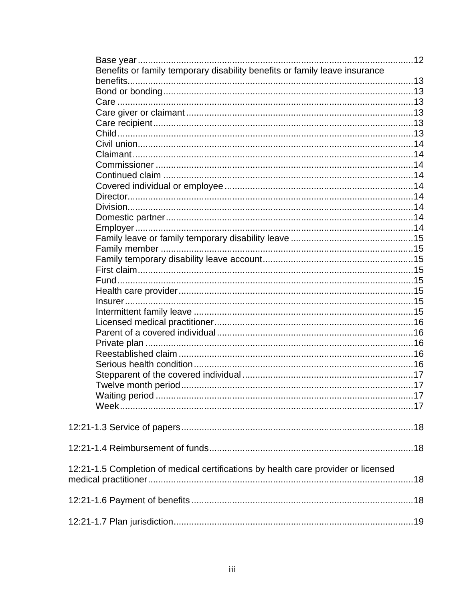| Benefits or family temporary disability benefits or family leave insurance         |  |
|------------------------------------------------------------------------------------|--|
|                                                                                    |  |
|                                                                                    |  |
|                                                                                    |  |
|                                                                                    |  |
|                                                                                    |  |
|                                                                                    |  |
|                                                                                    |  |
|                                                                                    |  |
|                                                                                    |  |
|                                                                                    |  |
|                                                                                    |  |
|                                                                                    |  |
|                                                                                    |  |
|                                                                                    |  |
|                                                                                    |  |
|                                                                                    |  |
|                                                                                    |  |
|                                                                                    |  |
|                                                                                    |  |
|                                                                                    |  |
|                                                                                    |  |
|                                                                                    |  |
|                                                                                    |  |
|                                                                                    |  |
|                                                                                    |  |
|                                                                                    |  |
|                                                                                    |  |
|                                                                                    |  |
|                                                                                    |  |
|                                                                                    |  |
|                                                                                    |  |
|                                                                                    |  |
|                                                                                    |  |
|                                                                                    |  |
|                                                                                    |  |
|                                                                                    |  |
|                                                                                    |  |
|                                                                                    |  |
|                                                                                    |  |
| 12:21-1.5 Completion of medical certifications by health care provider or licensed |  |
|                                                                                    |  |
|                                                                                    |  |
|                                                                                    |  |
|                                                                                    |  |
|                                                                                    |  |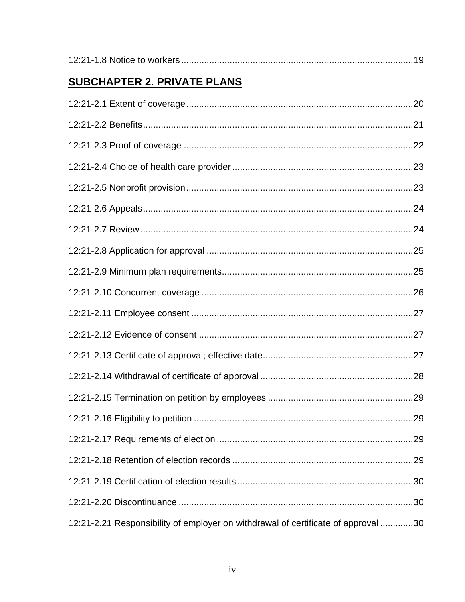|--|

# **SUBCHAPTER 2. PRIVATE PLANS**

| 12:21-2.21 Responsibility of employer on withdrawal of certificate of approval 30 |  |
|-----------------------------------------------------------------------------------|--|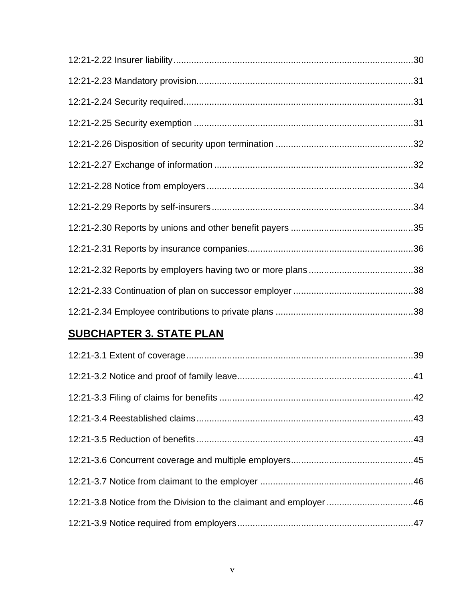# **SUBCHAPTER 3. STATE PLAN**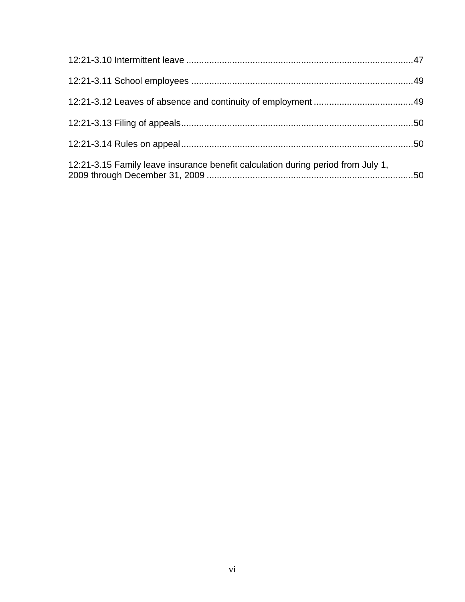| 12:21-3.15 Family leave insurance benefit calculation during period from July 1, |  |
|----------------------------------------------------------------------------------|--|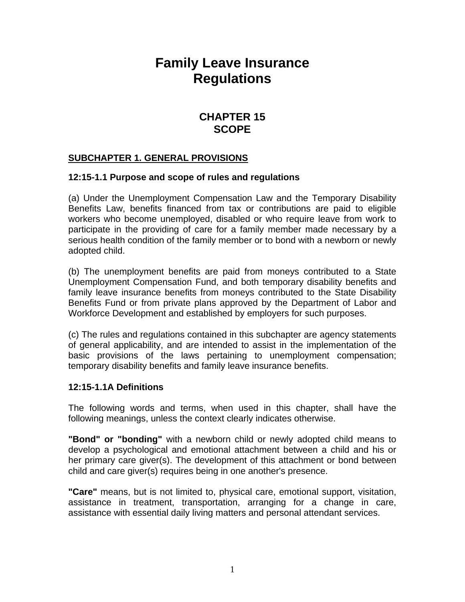# **Family Leave Insurance Regulations**

# **CHAPTER 15 SCOPE**

#### **SUBCHAPTER 1. GENERAL PROVISIONS**

#### **12:15-1.1 Purpose and scope of rules and regulations**

(a) Under the Unemployment Compensation Law and the Temporary Disability Benefits Law, benefits financed from tax or contributions are paid to eligible workers who become unemployed, disabled or who require leave from work to participate in the providing of care for a family member made necessary by a serious health condition of the family member or to bond with a newborn or newly adopted child.

(b) The unemployment benefits are paid from moneys contributed to a State Unemployment Compensation Fund, and both temporary disability benefits and family leave insurance benefits from moneys contributed to the State Disability Benefits Fund or from private plans approved by the Department of Labor and Workforce Development and established by employers for such purposes.

(c) The rules and regulations contained in this subchapter are agency statements of general applicability, and are intended to assist in the implementation of the basic provisions of the laws pertaining to unemployment compensation; temporary disability benefits and family leave insurance benefits.

#### **12:15-1.1A Definitions**

The following words and terms, when used in this chapter, shall have the following meanings, unless the context clearly indicates otherwise.

**"Bond" or "bonding"** with a newborn child or newly adopted child means to develop a psychological and emotional attachment between a child and his or her primary care giver(s). The development of this attachment or bond between child and care giver(s) requires being in one another's presence.

**"Care"** means, but is not limited to, physical care, emotional support, visitation, assistance in treatment, transportation, arranging for a change in care, assistance with essential daily living matters and personal attendant services.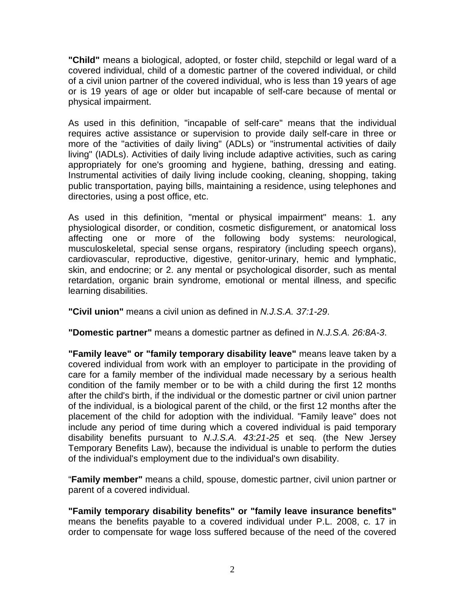**"Child"** means a biological, adopted, or foster child, stepchild or legal ward of a covered individual, child of a domestic partner of the covered individual, or child of a civil union partner of the covered individual, who is less than 19 years of age or is 19 years of age or older but incapable of self-care because of mental or physical impairment.

As used in this definition, "incapable of self-care" means that the individual requires active assistance or supervision to provide daily self-care in three or more of the "activities of daily living" (ADLs) or "instrumental activities of daily living" (IADLs). Activities of daily living include adaptive activities, such as caring appropriately for one's grooming and hygiene, bathing, dressing and eating. Instrumental activities of daily living include cooking, cleaning, shopping, taking public transportation, paying bills, maintaining a residence, using telephones and directories, using a post office, etc.

As used in this definition, "mental or physical impairment" means: 1. any physiological disorder, or condition, cosmetic disfigurement, or anatomical loss affecting one or more of the following body systems: neurological, musculoskeletal, special sense organs, respiratory (including speech organs), cardiovascular, reproductive, digestive, genitor-urinary, hemic and lymphatic, skin, and endocrine; or 2. any mental or psychological disorder, such as mental retardation, organic brain syndrome, emotional or mental illness, and specific learning disabilities.

**"Civil union"** means a civil union as defined in *N.J.S.A. 37:1-29*.

**"Domestic partner"** means a domestic partner as defined in *N.J.S.A. 26:8A-3*.

**"Family leave" or "family temporary disability leave"** means leave taken by a covered individual from work with an employer to participate in the providing of care for a family member of the individual made necessary by a serious health condition of the family member or to be with a child during the first 12 months after the child's birth, if the individual or the domestic partner or civil union partner of the individual, is a biological parent of the child, or the first 12 months after the placement of the child for adoption with the individual. "Family leave" does not include any period of time during which a covered individual is paid temporary disability benefits pursuant to *N.J.S.A. 43:21-25* et seq. (the New Jersey Temporary Benefits Law), because the individual is unable to perform the duties of the individual's employment due to the individual's own disability.

"**Family member"** means a child, spouse, domestic partner, civil union partner or parent of a covered individual.

**"Family temporary disability benefits" or "family leave insurance benefits"** means the benefits payable to a covered individual under P.L. 2008, c. 17 in order to compensate for wage loss suffered because of the need of the covered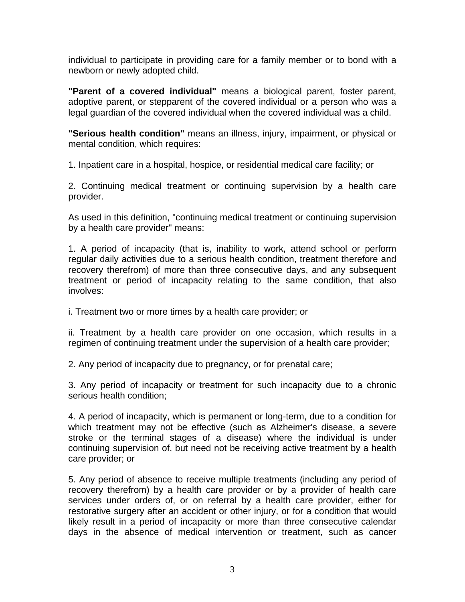individual to participate in providing care for a family member or to bond with a newborn or newly adopted child.

**"Parent of a covered individual"** means a biological parent, foster parent, adoptive parent, or stepparent of the covered individual or a person who was a legal guardian of the covered individual when the covered individual was a child.

**"Serious health condition"** means an illness, injury, impairment, or physical or mental condition, which requires:

1. Inpatient care in a hospital, hospice, or residential medical care facility; or

2. Continuing medical treatment or continuing supervision by a health care provider.

As used in this definition, "continuing medical treatment or continuing supervision by a health care provider" means:

1. A period of incapacity (that is, inability to work, attend school or perform regular daily activities due to a serious health condition, treatment therefore and recovery therefrom) of more than three consecutive days, and any subsequent treatment or period of incapacity relating to the same condition, that also involves:

i. Treatment two or more times by a health care provider; or

ii. Treatment by a health care provider on one occasion, which results in a regimen of continuing treatment under the supervision of a health care provider;

2. Any period of incapacity due to pregnancy, or for prenatal care;

3. Any period of incapacity or treatment for such incapacity due to a chronic serious health condition;

4. A period of incapacity, which is permanent or long-term, due to a condition for which treatment may not be effective (such as Alzheimer's disease, a severe stroke or the terminal stages of a disease) where the individual is under continuing supervision of, but need not be receiving active treatment by a health care provider; or

5. Any period of absence to receive multiple treatments (including any period of recovery therefrom) by a health care provider or by a provider of health care services under orders of, or on referral by a health care provider, either for restorative surgery after an accident or other injury, or for a condition that would likely result in a period of incapacity or more than three consecutive calendar days in the absence of medical intervention or treatment, such as cancer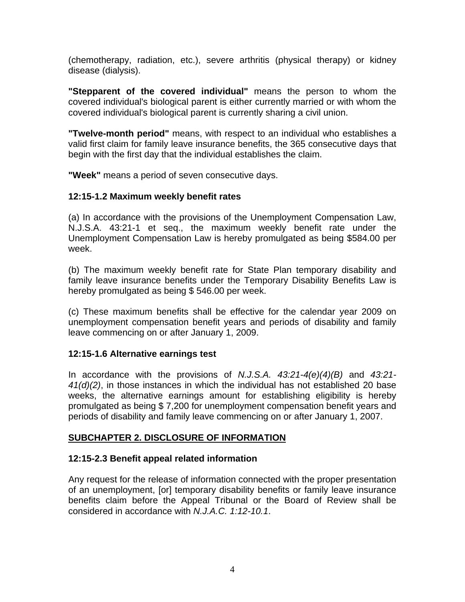(chemotherapy, radiation, etc.), severe arthritis (physical therapy) or kidney disease (dialysis).

**"Stepparent of the covered individual"** means the person to whom the covered individual's biological parent is either currently married or with whom the covered individual's biological parent is currently sharing a civil union.

**"Twelve-month period"** means, with respect to an individual who establishes a valid first claim for family leave insurance benefits, the 365 consecutive days that begin with the first day that the individual establishes the claim.

**"Week"** means a period of seven consecutive days.

## **12:15-1.2 Maximum weekly benefit rates**

(a) In accordance with the provisions of the Unemployment Compensation Law, N.J.S.A. 43:21-1 et seq., the maximum weekly benefit rate under the Unemployment Compensation Law is hereby promulgated as being \$584.00 per week.

(b) The maximum weekly benefit rate for State Plan temporary disability and family leave insurance benefits under the Temporary Disability Benefits Law is hereby promulgated as being \$ 546.00 per week.

(c) These maximum benefits shall be effective for the calendar year 2009 on unemployment compensation benefit years and periods of disability and family leave commencing on or after January 1, 2009.

#### **12:15-1.6 Alternative earnings test**

In accordance with the provisions of *N.J.S.A. 43:21-4(e)(4)(B)* and *43:21- 41(d)(2)*, in those instances in which the individual has not established 20 base weeks, the alternative earnings amount for establishing eligibility is hereby promulgated as being \$ 7,200 for unemployment compensation benefit years and periods of disability and family leave commencing on or after January 1, 2007.

# **SUBCHAPTER 2. DISCLOSURE OF INFORMATION**

# **12:15-2.3 Benefit appeal related information**

Any request for the release of information connected with the proper presentation of an unemployment, [or] temporary disability benefits or family leave insurance benefits claim before the Appeal Tribunal or the Board of Review shall be considered in accordance with *N.J.A.C. 1:12-10.1*.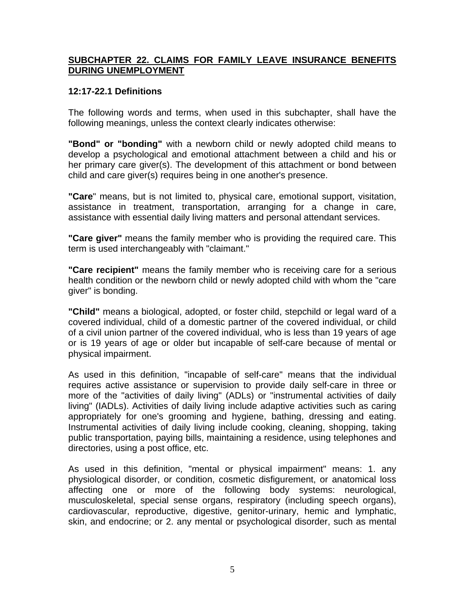#### **SUBCHAPTER 22. CLAIMS FOR FAMILY LEAVE INSURANCE BENEFITS DURING UNEMPLOYMENT**

#### **12:17-22.1 Definitions**

The following words and terms, when used in this subchapter, shall have the following meanings, unless the context clearly indicates otherwise:

**"Bond" or "bonding"** with a newborn child or newly adopted child means to develop a psychological and emotional attachment between a child and his or her primary care giver(s). The development of this attachment or bond between child and care giver(s) requires being in one another's presence.

**"Care**" means, but is not limited to, physical care, emotional support, visitation, assistance in treatment, transportation, arranging for a change in care, assistance with essential daily living matters and personal attendant services.

**"Care giver"** means the family member who is providing the required care. This term is used interchangeably with "claimant."

**"Care recipient"** means the family member who is receiving care for a serious health condition or the newborn child or newly adopted child with whom the "care giver" is bonding.

**"Child"** means a biological, adopted, or foster child, stepchild or legal ward of a covered individual, child of a domestic partner of the covered individual, or child of a civil union partner of the covered individual, who is less than 19 years of age or is 19 years of age or older but incapable of self-care because of mental or physical impairment.

As used in this definition, "incapable of self-care" means that the individual requires active assistance or supervision to provide daily self-care in three or more of the "activities of daily living" (ADLs) or "instrumental activities of daily living" (IADLs). Activities of daily living include adaptive activities such as caring appropriately for one's grooming and hygiene, bathing, dressing and eating. Instrumental activities of daily living include cooking, cleaning, shopping, taking public transportation, paying bills, maintaining a residence, using telephones and directories, using a post office, etc.

As used in this definition, "mental or physical impairment" means: 1. any physiological disorder, or condition, cosmetic disfigurement, or anatomical loss affecting one or more of the following body systems: neurological, musculoskeletal, special sense organs, respiratory (including speech organs), cardiovascular, reproductive, digestive, genitor-urinary, hemic and lymphatic, skin, and endocrine; or 2. any mental or psychological disorder, such as mental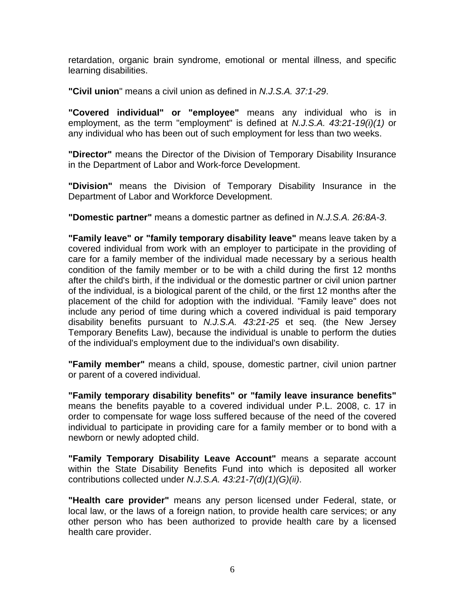retardation, organic brain syndrome, emotional or mental illness, and specific learning disabilities.

**"Civil union**" means a civil union as defined in *N.J.S.A. 37:1-29*.

**"Covered individual" or "employee"** means any individual who is in employment, as the term "employment" is defined at *N.J.S.A. 43:21-19(i)(1)* or any individual who has been out of such employment for less than two weeks.

**"Director"** means the Director of the Division of Temporary Disability Insurance in the Department of Labor and Work-force Development.

**"Division"** means the Division of Temporary Disability Insurance in the Department of Labor and Workforce Development.

**"Domestic partner"** means a domestic partner as defined in *N.J.S.A. 26:8A-3*.

**"Family leave" or "family temporary disability leave"** means leave taken by a covered individual from work with an employer to participate in the providing of care for a family member of the individual made necessary by a serious health condition of the family member or to be with a child during the first 12 months after the child's birth, if the individual or the domestic partner or civil union partner of the individual, is a biological parent of the child, or the first 12 months after the placement of the child for adoption with the individual. "Family leave" does not include any period of time during which a covered individual is paid temporary disability benefits pursuant to *N.J.S.A. 43:21-25* et seq. (the New Jersey Temporary Benefits Law), because the individual is unable to perform the duties of the individual's employment due to the individual's own disability.

**"Family member"** means a child, spouse, domestic partner, civil union partner or parent of a covered individual.

**"Family temporary disability benefits" or "family leave insurance benefits"** means the benefits payable to a covered individual under P.L. 2008, c. 17 in order to compensate for wage loss suffered because of the need of the covered individual to participate in providing care for a family member or to bond with a newborn or newly adopted child.

**"Family Temporary Disability Leave Account"** means a separate account within the State Disability Benefits Fund into which is deposited all worker contributions collected under *N.J.S.A. 43:21-7(d)(1)(G)(ii)*.

**"Health care provider"** means any person licensed under Federal, state, or local law, or the laws of a foreign nation, to provide health care services; or any other person who has been authorized to provide health care by a licensed health care provider.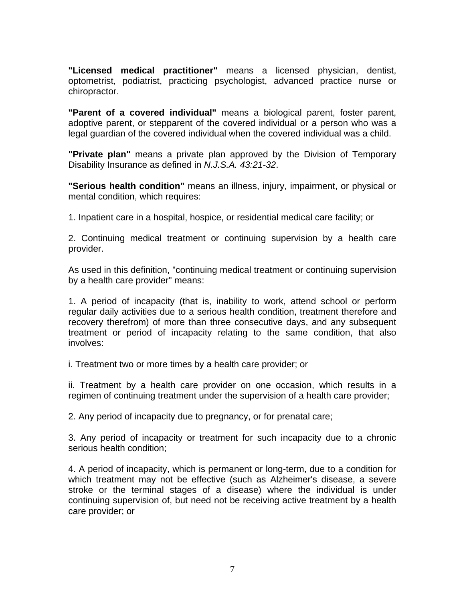**"Licensed medical practitioner"** means a licensed physician, dentist, optometrist, podiatrist, practicing psychologist, advanced practice nurse or chiropractor.

**"Parent of a covered individual"** means a biological parent, foster parent, adoptive parent, or stepparent of the covered individual or a person who was a legal guardian of the covered individual when the covered individual was a child.

**"Private plan"** means a private plan approved by the Division of Temporary Disability Insurance as defined in *N.J.S.A. 43:21-32*.

**"Serious health condition"** means an illness, injury, impairment, or physical or mental condition, which requires:

1. Inpatient care in a hospital, hospice, or residential medical care facility; or

2. Continuing medical treatment or continuing supervision by a health care provider.

As used in this definition, "continuing medical treatment or continuing supervision by a health care provider" means:

1. A period of incapacity (that is, inability to work, attend school or perform regular daily activities due to a serious health condition, treatment therefore and recovery therefrom) of more than three consecutive days, and any subsequent treatment or period of incapacity relating to the same condition, that also involves:

i. Treatment two or more times by a health care provider; or

ii. Treatment by a health care provider on one occasion, which results in a regimen of continuing treatment under the supervision of a health care provider;

2. Any period of incapacity due to pregnancy, or for prenatal care;

3. Any period of incapacity or treatment for such incapacity due to a chronic serious health condition;

4. A period of incapacity, which is permanent or long-term, due to a condition for which treatment may not be effective (such as Alzheimer's disease, a severe stroke or the terminal stages of a disease) where the individual is under continuing supervision of, but need not be receiving active treatment by a health care provider; or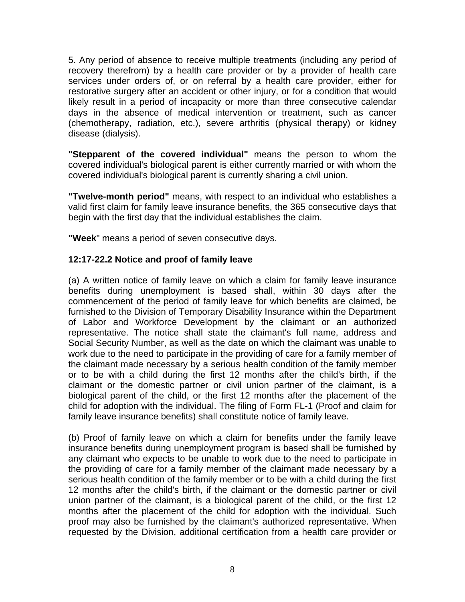5. Any period of absence to receive multiple treatments (including any period of recovery therefrom) by a health care provider or by a provider of health care services under orders of, or on referral by a health care provider, either for restorative surgery after an accident or other injury, or for a condition that would likely result in a period of incapacity or more than three consecutive calendar days in the absence of medical intervention or treatment, such as cancer (chemotherapy, radiation, etc.), severe arthritis (physical therapy) or kidney disease (dialysis).

**"Stepparent of the covered individual"** means the person to whom the covered individual's biological parent is either currently married or with whom the covered individual's biological parent is currently sharing a civil union.

**"Twelve-month period"** means, with respect to an individual who establishes a valid first claim for family leave insurance benefits, the 365 consecutive days that begin with the first day that the individual establishes the claim.

**"Week**" means a period of seven consecutive days.

## **12:17-22.2 Notice and proof of family leave**

(a) A written notice of family leave on which a claim for family leave insurance benefits during unemployment is based shall, within 30 days after the commencement of the period of family leave for which benefits are claimed, be furnished to the Division of Temporary Disability Insurance within the Department of Labor and Workforce Development by the claimant or an authorized representative. The notice shall state the claimant's full name, address and Social Security Number, as well as the date on which the claimant was unable to work due to the need to participate in the providing of care for a family member of the claimant made necessary by a serious health condition of the family member or to be with a child during the first 12 months after the child's birth, if the claimant or the domestic partner or civil union partner of the claimant, is a biological parent of the child, or the first 12 months after the placement of the child for adoption with the individual. The filing of Form FL-1 (Proof and claim for family leave insurance benefits) shall constitute notice of family leave.

(b) Proof of family leave on which a claim for benefits under the family leave insurance benefits during unemployment program is based shall be furnished by any claimant who expects to be unable to work due to the need to participate in the providing of care for a family member of the claimant made necessary by a serious health condition of the family member or to be with a child during the first 12 months after the child's birth, if the claimant or the domestic partner or civil union partner of the claimant, is a biological parent of the child, or the first 12 months after the placement of the child for adoption with the individual. Such proof may also be furnished by the claimant's authorized representative. When requested by the Division, additional certification from a health care provider or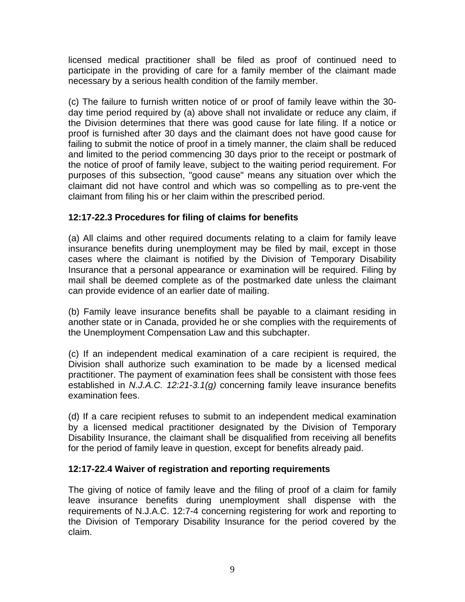licensed medical practitioner shall be filed as proof of continued need to participate in the providing of care for a family member of the claimant made necessary by a serious health condition of the family member.

(c) The failure to furnish written notice of or proof of family leave within the 30 day time period required by (a) above shall not invalidate or reduce any claim, if the Division determines that there was good cause for late filing. If a notice or proof is furnished after 30 days and the claimant does not have good cause for failing to submit the notice of proof in a timely manner, the claim shall be reduced and limited to the period commencing 30 days prior to the receipt or postmark of the notice of proof of family leave, subject to the waiting period requirement. For purposes of this subsection, "good cause" means any situation over which the claimant did not have control and which was so compelling as to pre-vent the claimant from filing his or her claim within the prescribed period.

## **12:17-22.3 Procedures for filing of claims for benefits**

(a) All claims and other required documents relating to a claim for family leave insurance benefits during unemployment may be filed by mail, except in those cases where the claimant is notified by the Division of Temporary Disability Insurance that a personal appearance or examination will be required. Filing by mail shall be deemed complete as of the postmarked date unless the claimant can provide evidence of an earlier date of mailing.

(b) Family leave insurance benefits shall be payable to a claimant residing in another state or in Canada, provided he or she complies with the requirements of the Unemployment Compensation Law and this subchapter.

(c) If an independent medical examination of a care recipient is required, the Division shall authorize such examination to be made by a licensed medical practitioner. The payment of examination fees shall be consistent with those fees established in *N.J.A.C. 12:21-3.1(g)* concerning family leave insurance benefits examination fees.

(d) If a care recipient refuses to submit to an independent medical examination by a licensed medical practitioner designated by the Division of Temporary Disability Insurance, the claimant shall be disqualified from receiving all benefits for the period of family leave in question, except for benefits already paid.

#### **12:17-22.4 Waiver of registration and reporting requirements**

The giving of notice of family leave and the filing of proof of a claim for family leave insurance benefits during unemployment shall dispense with the requirements of N.J.A.C. 12:7-4 concerning registering for work and reporting to the Division of Temporary Disability Insurance for the period covered by the claim.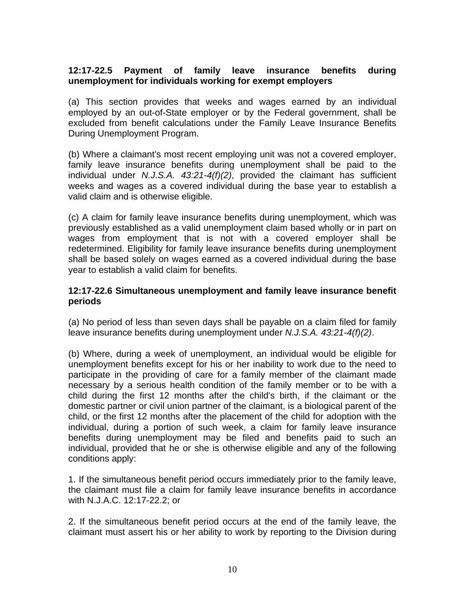#### **12:17-22.5 Payment of family leave insurance benefits during unemployment for individuals working for exempt employers**

(a) This section provides that weeks and wages earned by an individual employed by an out-of-State employer or by the Federal government, shall be excluded from benefit calculations under the Family Leave Insurance Benefits During Unemployment Program.

(b) Where a claimant's most recent employing unit was not a covered employer, family leave insurance benefits during unemployment shall be paid to the individual under *N.J.S.A. 43:21-4(f)(2)*, provided the claimant has sufficient weeks and wages as a covered individual during the base year to establish a valid claim and is otherwise eligible.

(c) A claim for family leave insurance benefits during unemployment, which was previously established as a valid unemployment claim based wholly or in part on wages from employment that is not with a covered employer shall be redetermined. Eligibility for family leave insurance benefits during unemployment shall be based solely on wages earned as a covered individual during the base year to establish a valid claim for benefits.

#### **12:17-22.6 Simultaneous unemployment and family leave insurance benefit periods**

(a) No period of less than seven days shall be payable on a claim filed for family leave insurance benefits during unemployment under *N.J.S.A. 43:21-4(f)(2)*.

(b) Where, during a week of unemployment, an individual would be eligible for unemployment benefits except for his or her inability to work due to the need to participate in the providing of care for a family member of the claimant made necessary by a serious health condition of the family member or to be with a child during the first 12 months after the child's birth, if the claimant or the domestic partner or civil union partner of the claimant, is a biological parent of the child, or the first 12 months after the placement of the child for adoption with the individual, during a portion of such week, a claim for family leave insurance benefits during unemployment may be filed and benefits paid to such an individual, provided that he or she is otherwise eligible and any of the following conditions apply:

1. If the simultaneous benefit period occurs immediately prior to the family leave, the claimant must file a claim for family leave insurance benefits in accordance with N.J.A.C. 12:17-22.2; or

2. If the simultaneous benefit period occurs at the end of the family leave, the claimant must assert his or her ability to work by reporting to the Division during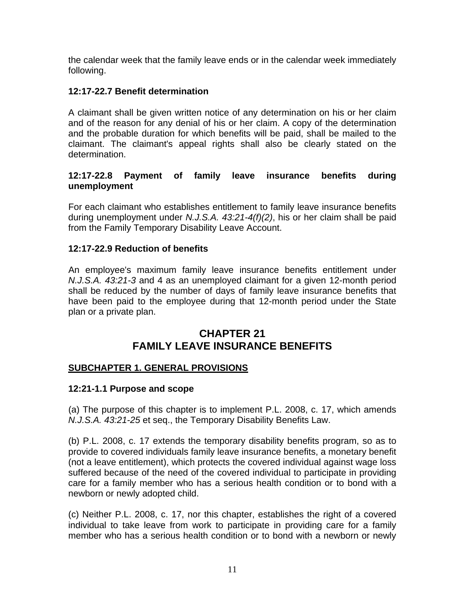the calendar week that the family leave ends or in the calendar week immediately following.

## **12:17-22.7 Benefit determination**

A claimant shall be given written notice of any determination on his or her claim and of the reason for any denial of his or her claim. A copy of the determination and the probable duration for which benefits will be paid, shall be mailed to the claimant. The claimant's appeal rights shall also be clearly stated on the determination.

### **12:17-22.8 Payment of family leave insurance benefits during unemployment**

For each claimant who establishes entitlement to family leave insurance benefits during unemployment under *N.J.S.A. 43:21-4(f)(2)*, his or her claim shall be paid from the Family Temporary Disability Leave Account.

## **12:17-22.9 Reduction of benefits**

An employee's maximum family leave insurance benefits entitlement under *N.J.S.A. 43:21-3* and 4 as an unemployed claimant for a given 12-month period shall be reduced by the number of days of family leave insurance benefits that have been paid to the employee during that 12-month period under the State plan or a private plan.

# **CHAPTER 21 FAMILY LEAVE INSURANCE BENEFITS**

#### **SUBCHAPTER 1. GENERAL PROVISIONS**

#### **12:21-1.1 Purpose and scope**

(a) The purpose of this chapter is to implement P.L. 2008, c. 17, which amends *N.J.S.A. 43:21-25* et seq., the Temporary Disability Benefits Law.

(b) P.L. 2008, c. 17 extends the temporary disability benefits program, so as to provide to covered individuals family leave insurance benefits, a monetary benefit (not a leave entitlement), which protects the covered individual against wage loss suffered because of the need of the covered individual to participate in providing care for a family member who has a serious health condition or to bond with a newborn or newly adopted child.

(c) Neither P.L. 2008, c. 17, nor this chapter, establishes the right of a covered individual to take leave from work to participate in providing care for a family member who has a serious health condition or to bond with a newborn or newly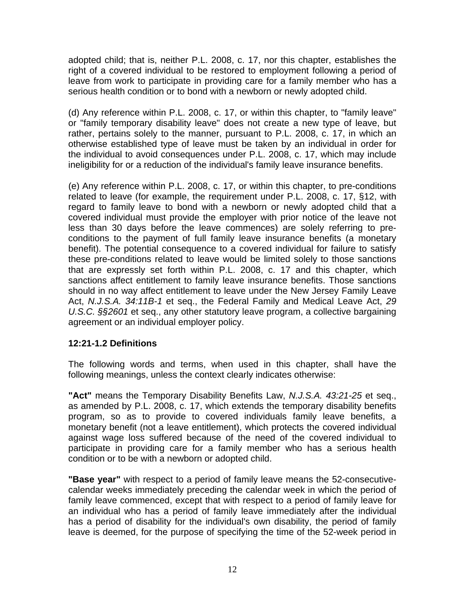adopted child; that is, neither P.L. 2008, c. 17, nor this chapter, establishes the right of a covered individual to be restored to employment following a period of leave from work to participate in providing care for a family member who has a serious health condition or to bond with a newborn or newly adopted child.

(d) Any reference within P.L. 2008, c. 17, or within this chapter, to "family leave" or "family temporary disability leave" does not create a new type of leave, but rather, pertains solely to the manner, pursuant to P.L. 2008, c. 17, in which an otherwise established type of leave must be taken by an individual in order for the individual to avoid consequences under P.L. 2008, c. 17, which may include ineligibility for or a reduction of the individual's family leave insurance benefits.

(e) Any reference within P.L. 2008, c. 17, or within this chapter, to pre-conditions related to leave (for example, the requirement under P.L. 2008, c. 17, §12, with regard to family leave to bond with a newborn or newly adopted child that a covered individual must provide the employer with prior notice of the leave not less than 30 days before the leave commences) are solely referring to preconditions to the payment of full family leave insurance benefits (a monetary benefit). The potential consequence to a covered individual for failure to satisfy these pre-conditions related to leave would be limited solely to those sanctions that are expressly set forth within P.L. 2008, c. 17 and this chapter, which sanctions affect entitlement to family leave insurance benefits. Those sanctions should in no way affect entitlement to leave under the New Jersey Family Leave Act, *N.J.S.A. 34:11B-1* et seq., the Federal Family and Medical Leave Act, *29 U.S.C. §§2601* et seq., any other statutory leave program, a collective bargaining agreement or an individual employer policy.

#### **12:21-1.2 Definitions**

The following words and terms, when used in this chapter, shall have the following meanings, unless the context clearly indicates otherwise:

**"Act"** means the Temporary Disability Benefits Law, *N.J.S.A. 43:21-25* et seq., as amended by P.L. 2008, c. 17, which extends the temporary disability benefits program, so as to provide to covered individuals family leave benefits, a monetary benefit (not a leave entitlement), which protects the covered individual against wage loss suffered because of the need of the covered individual to participate in providing care for a family member who has a serious health condition or to be with a newborn or adopted child.

**"Base year"** with respect to a period of family leave means the 52-consecutivecalendar weeks immediately preceding the calendar week in which the period of family leave commenced, except that with respect to a period of family leave for an individual who has a period of family leave immediately after the individual has a period of disability for the individual's own disability, the period of family leave is deemed, for the purpose of specifying the time of the 52-week period in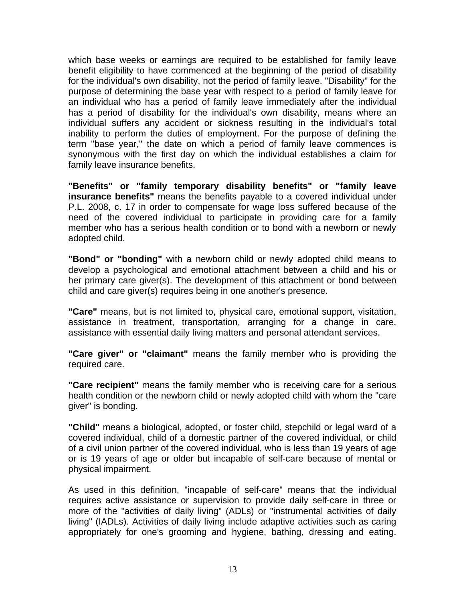which base weeks or earnings are required to be established for family leave benefit eligibility to have commenced at the beginning of the period of disability for the individual's own disability, not the period of family leave. "Disability" for the purpose of determining the base year with respect to a period of family leave for an individual who has a period of family leave immediately after the individual has a period of disability for the individual's own disability, means where an individual suffers any accident or sickness resulting in the individual's total inability to perform the duties of employment. For the purpose of defining the term "base year," the date on which a period of family leave commences is synonymous with the first day on which the individual establishes a claim for family leave insurance benefits.

**"Benefits" or "family temporary disability benefits" or "family leave insurance benefits"** means the benefits payable to a covered individual under P.L. 2008, c. 17 in order to compensate for wage loss suffered because of the need of the covered individual to participate in providing care for a family member who has a serious health condition or to bond with a newborn or newly adopted child.

**"Bond" or "bonding"** with a newborn child or newly adopted child means to develop a psychological and emotional attachment between a child and his or her primary care giver(s). The development of this attachment or bond between child and care giver(s) requires being in one another's presence.

**"Care"** means, but is not limited to, physical care, emotional support, visitation, assistance in treatment, transportation, arranging for a change in care, assistance with essential daily living matters and personal attendant services.

**"Care giver" or "claimant"** means the family member who is providing the required care.

**"Care recipient"** means the family member who is receiving care for a serious health condition or the newborn child or newly adopted child with whom the "care giver" is bonding.

**"Child"** means a biological, adopted, or foster child, stepchild or legal ward of a covered individual, child of a domestic partner of the covered individual, or child of a civil union partner of the covered individual, who is less than 19 years of age or is 19 years of age or older but incapable of self-care because of mental or physical impairment.

As used in this definition, "incapable of self-care" means that the individual requires active assistance or supervision to provide daily self-care in three or more of the "activities of daily living" (ADLs) or "instrumental activities of daily living" (IADLs). Activities of daily living include adaptive activities such as caring appropriately for one's grooming and hygiene, bathing, dressing and eating.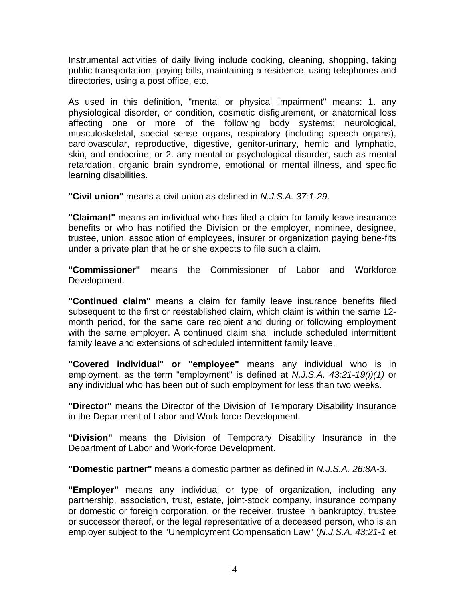Instrumental activities of daily living include cooking, cleaning, shopping, taking public transportation, paying bills, maintaining a residence, using telephones and directories, using a post office, etc.

As used in this definition, "mental or physical impairment" means: 1. any physiological disorder, or condition, cosmetic disfigurement, or anatomical loss affecting one or more of the following body systems: neurological, musculoskeletal, special sense organs, respiratory (including speech organs), cardiovascular, reproductive, digestive, genitor-urinary, hemic and lymphatic, skin, and endocrine; or 2. any mental or psychological disorder, such as mental retardation, organic brain syndrome, emotional or mental illness, and specific learning disabilities.

**"Civil union"** means a civil union as defined in *N.J.S.A. 37:1-29*.

**"Claimant"** means an individual who has filed a claim for family leave insurance benefits or who has notified the Division or the employer, nominee, designee, trustee, union, association of employees, insurer or organization paying bene-fits under a private plan that he or she expects to file such a claim.

**"Commissioner"** means the Commissioner of Labor and Workforce Development.

**"Continued claim"** means a claim for family leave insurance benefits filed subsequent to the first or reestablished claim, which claim is within the same 12 month period, for the same care recipient and during or following employment with the same employer. A continued claim shall include scheduled intermittent family leave and extensions of scheduled intermittent family leave.

**"Covered individual" or "employee"** means any individual who is in employment, as the term "employment" is defined at *N.J.S.A. 43:21-19(i)(1)* or any individual who has been out of such employment for less than two weeks.

**"Director"** means the Director of the Division of Temporary Disability Insurance in the Department of Labor and Work-force Development.

**"Division"** means the Division of Temporary Disability Insurance in the Department of Labor and Work-force Development.

**"Domestic partner"** means a domestic partner as defined in *N.J.S.A. 26:8A-3*.

**"Employer"** means any individual or type of organization, including any partnership, association, trust, estate, joint-stock company, insurance company or domestic or foreign corporation, or the receiver, trustee in bankruptcy, trustee or successor thereof, or the legal representative of a deceased person, who is an employer subject to the "Unemployment Compensation Law" (*N.J.S.A. 43:21-1* et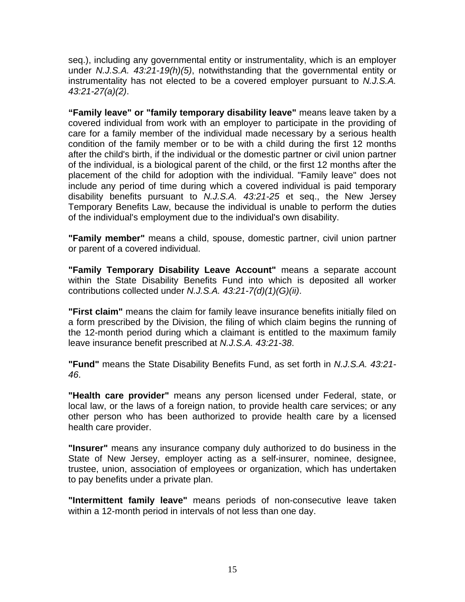seq.), including any governmental entity or instrumentality, which is an employer under *N.J.S.A. 43:21-19(h)(5)*, notwithstanding that the governmental entity or instrumentality has not elected to be a covered employer pursuant to *N.J.S.A. 43:21-27(a)(2)*.

**"Family leave" or "family temporary disability leave"** means leave taken by a covered individual from work with an employer to participate in the providing of care for a family member of the individual made necessary by a serious health condition of the family member or to be with a child during the first 12 months after the child's birth, if the individual or the domestic partner or civil union partner of the individual, is a biological parent of the child, or the first 12 months after the placement of the child for adoption with the individual. "Family leave" does not include any period of time during which a covered individual is paid temporary disability benefits pursuant to *N.J.S.A. 43:21-25* et seq., the New Jersey Temporary Benefits Law, because the individual is unable to perform the duties of the individual's employment due to the individual's own disability.

**"Family member"** means a child, spouse, domestic partner, civil union partner or parent of a covered individual.

**"Family Temporary Disability Leave Account"** means a separate account within the State Disability Benefits Fund into which is deposited all worker contributions collected under *N.J.S.A. 43:21-7(d)(1)(G)(ii)*.

**"First claim"** means the claim for family leave insurance benefits initially filed on a form prescribed by the Division, the filing of which claim begins the running of the 12-month period during which a claimant is entitled to the maximum family leave insurance benefit prescribed at *N.J.S.A. 43:21-38*.

**"Fund"** means the State Disability Benefits Fund, as set forth in *N.J.S.A. 43:21- 46*.

**"Health care provider"** means any person licensed under Federal, state, or local law, or the laws of a foreign nation, to provide health care services; or any other person who has been authorized to provide health care by a licensed health care provider.

**"Insurer"** means any insurance company duly authorized to do business in the State of New Jersey, employer acting as a self-insurer, nominee, designee, trustee, union, association of employees or organization, which has undertaken to pay benefits under a private plan.

**"Intermittent family leave"** means periods of non-consecutive leave taken within a 12-month period in intervals of not less than one day.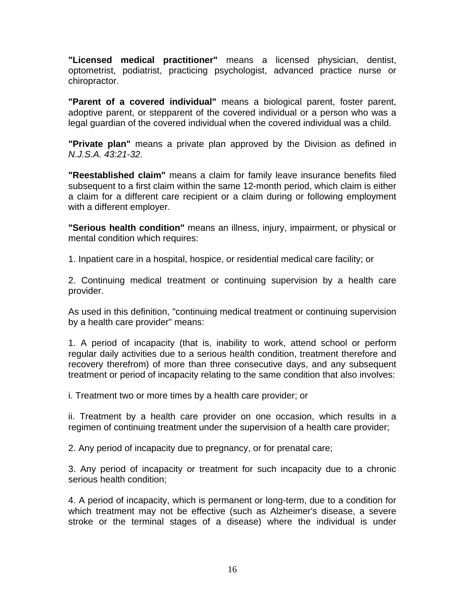**"Licensed medical practitioner"** means a licensed physician, dentist, optometrist, podiatrist, practicing psychologist, advanced practice nurse or chiropractor.

**"Parent of a covered individual"** means a biological parent, foster parent, adoptive parent, or stepparent of the covered individual or a person who was a legal guardian of the covered individual when the covered individual was a child.

**"Private plan"** means a private plan approved by the Division as defined in *N.J.S.A. 43:21-32*.

**"Reestablished claim"** means a claim for family leave insurance benefits filed subsequent to a first claim within the same 12-month period, which claim is either a claim for a different care recipient or a claim during or following employment with a different employer.

**"Serious health condition"** means an illness, injury, impairment, or physical or mental condition which requires:

1. Inpatient care in a hospital, hospice, or residential medical care facility; or

2. Continuing medical treatment or continuing supervision by a health care provider.

As used in this definition, "continuing medical treatment or continuing supervision by a health care provider" means:

1. A period of incapacity (that is, inability to work, attend school or perform regular daily activities due to a serious health condition, treatment therefore and recovery therefrom) of more than three consecutive days, and any subsequent treatment or period of incapacity relating to the same condition that also involves:

i. Treatment two or more times by a health care provider; or

ii. Treatment by a health care provider on one occasion, which results in a regimen of continuing treatment under the supervision of a health care provider;

2. Any period of incapacity due to pregnancy, or for prenatal care;

3. Any period of incapacity or treatment for such incapacity due to a chronic serious health condition;

4. A period of incapacity, which is permanent or long-term, due to a condition for which treatment may not be effective (such as Alzheimer's disease, a severe stroke or the terminal stages of a disease) where the individual is under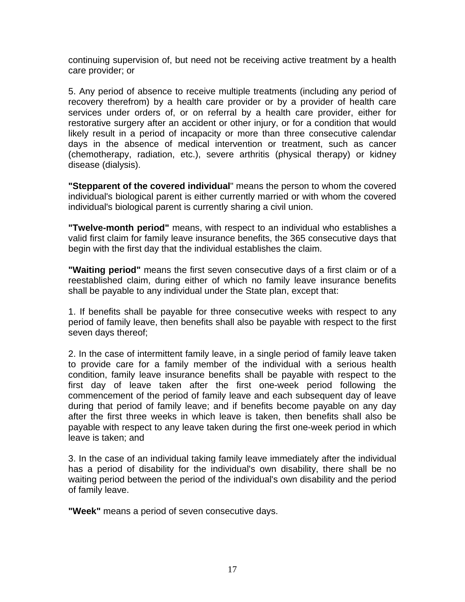continuing supervision of, but need not be receiving active treatment by a health care provider; or

5. Any period of absence to receive multiple treatments (including any period of recovery therefrom) by a health care provider or by a provider of health care services under orders of, or on referral by a health care provider, either for restorative surgery after an accident or other injury, or for a condition that would likely result in a period of incapacity or more than three consecutive calendar days in the absence of medical intervention or treatment, such as cancer (chemotherapy, radiation, etc.), severe arthritis (physical therapy) or kidney disease (dialysis).

**"Stepparent of the covered individual**" means the person to whom the covered individual's biological parent is either currently married or with whom the covered individual's biological parent is currently sharing a civil union.

**"Twelve-month period"** means, with respect to an individual who establishes a valid first claim for family leave insurance benefits, the 365 consecutive days that begin with the first day that the individual establishes the claim.

**"Waiting period"** means the first seven consecutive days of a first claim or of a reestablished claim, during either of which no family leave insurance benefits shall be payable to any individual under the State plan, except that:

1. If benefits shall be payable for three consecutive weeks with respect to any period of family leave, then benefits shall also be payable with respect to the first seven days thereof;

2. In the case of intermittent family leave, in a single period of family leave taken to provide care for a family member of the individual with a serious health condition, family leave insurance benefits shall be payable with respect to the first day of leave taken after the first one-week period following the commencement of the period of family leave and each subsequent day of leave during that period of family leave; and if benefits become payable on any day after the first three weeks in which leave is taken, then benefits shall also be payable with respect to any leave taken during the first one-week period in which leave is taken; and

3. In the case of an individual taking family leave immediately after the individual has a period of disability for the individual's own disability, there shall be no waiting period between the period of the individual's own disability and the period of family leave.

**"Week"** means a period of seven consecutive days.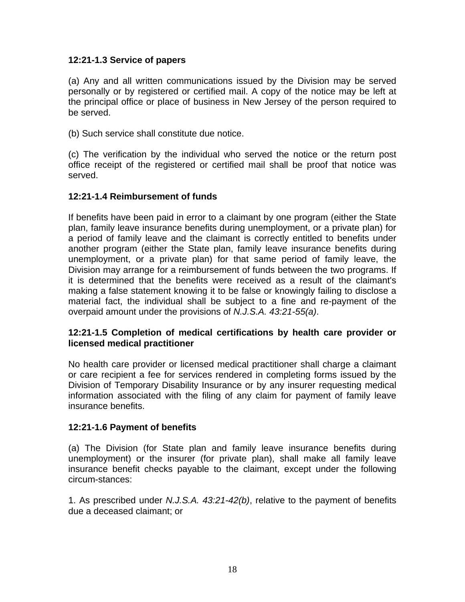#### **12:21-1.3 Service of papers**

(a) Any and all written communications issued by the Division may be served personally or by registered or certified mail. A copy of the notice may be left at the principal office or place of business in New Jersey of the person required to be served.

(b) Such service shall constitute due notice.

(c) The verification by the individual who served the notice or the return post office receipt of the registered or certified mail shall be proof that notice was served.

#### **12:21-1.4 Reimbursement of funds**

If benefits have been paid in error to a claimant by one program (either the State plan, family leave insurance benefits during unemployment, or a private plan) for a period of family leave and the claimant is correctly entitled to benefits under another program (either the State plan, family leave insurance benefits during unemployment, or a private plan) for that same period of family leave, the Division may arrange for a reimbursement of funds between the two programs. If it is determined that the benefits were received as a result of the claimant's making a false statement knowing it to be false or knowingly failing to disclose a material fact, the individual shall be subject to a fine and re-payment of the overpaid amount under the provisions of *N.J.S.A. 43:21-55(a)*.

#### **12:21-1.5 Completion of medical certifications by health care provider or licensed medical practitioner**

No health care provider or licensed medical practitioner shall charge a claimant or care recipient a fee for services rendered in completing forms issued by the Division of Temporary Disability Insurance or by any insurer requesting medical information associated with the filing of any claim for payment of family leave insurance benefits.

#### **12:21-1.6 Payment of benefits**

(a) The Division (for State plan and family leave insurance benefits during unemployment) or the insurer (for private plan), shall make all family leave insurance benefit checks payable to the claimant, except under the following circum-stances:

1. As prescribed under *N.J.S.A. 43:21-42(b)*, relative to the payment of benefits due a deceased claimant; or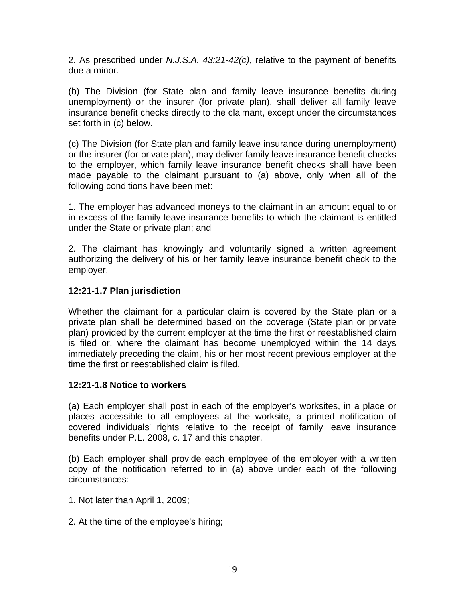2. As prescribed under *N.J.S.A. 43:21-42(c)*, relative to the payment of benefits due a minor.

(b) The Division (for State plan and family leave insurance benefits during unemployment) or the insurer (for private plan), shall deliver all family leave insurance benefit checks directly to the claimant, except under the circumstances set forth in (c) below.

(c) The Division (for State plan and family leave insurance during unemployment) or the insurer (for private plan), may deliver family leave insurance benefit checks to the employer, which family leave insurance benefit checks shall have been made payable to the claimant pursuant to (a) above, only when all of the following conditions have been met:

1. The employer has advanced moneys to the claimant in an amount equal to or in excess of the family leave insurance benefits to which the claimant is entitled under the State or private plan; and

2. The claimant has knowingly and voluntarily signed a written agreement authorizing the delivery of his or her family leave insurance benefit check to the employer.

#### **12:21-1.7 Plan jurisdiction**

Whether the claimant for a particular claim is covered by the State plan or a private plan shall be determined based on the coverage (State plan or private plan) provided by the current employer at the time the first or reestablished claim is filed or, where the claimant has become unemployed within the 14 days immediately preceding the claim, his or her most recent previous employer at the time the first or reestablished claim is filed.

#### **12:21-1.8 Notice to workers**

(a) Each employer shall post in each of the employer's worksites, in a place or places accessible to all employees at the worksite, a printed notification of covered individuals' rights relative to the receipt of family leave insurance benefits under P.L. 2008, c. 17 and this chapter.

(b) Each employer shall provide each employee of the employer with a written copy of the notification referred to in (a) above under each of the following circumstances:

- 1. Not later than April 1, 2009;
- 2. At the time of the employee's hiring;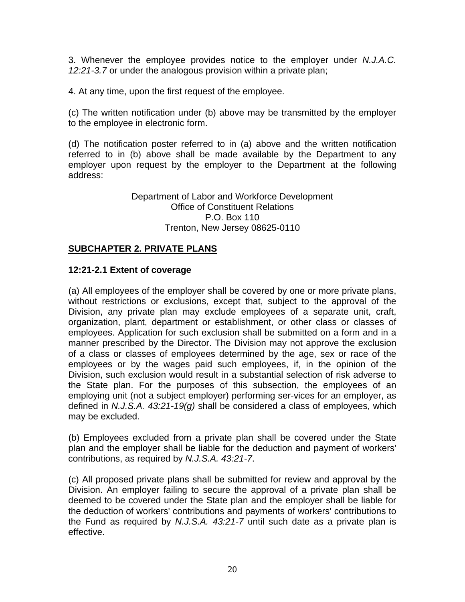3. Whenever the employee provides notice to the employer under *N.J.A.C. 12:21-3.7* or under the analogous provision within a private plan;

4. At any time, upon the first request of the employee.

(c) The written notification under (b) above may be transmitted by the employer to the employee in electronic form.

(d) The notification poster referred to in (a) above and the written notification referred to in (b) above shall be made available by the Department to any employer upon request by the employer to the Department at the following address:

> Department of Labor and Workforce Development Office of Constituent Relations P.O. Box 110 Trenton, New Jersey 08625-0110

#### **SUBCHAPTER 2. PRIVATE PLANS**

#### **12:21-2.1 Extent of coverage**

(a) All employees of the employer shall be covered by one or more private plans, without restrictions or exclusions, except that, subject to the approval of the Division, any private plan may exclude employees of a separate unit, craft, organization, plant, department or establishment, or other class or classes of employees. Application for such exclusion shall be submitted on a form and in a manner prescribed by the Director. The Division may not approve the exclusion of a class or classes of employees determined by the age, sex or race of the employees or by the wages paid such employees, if, in the opinion of the Division, such exclusion would result in a substantial selection of risk adverse to the State plan. For the purposes of this subsection, the employees of an employing unit (not a subject employer) performing ser-vices for an employer, as defined in *N.J.S.A. 43:21-19(g)* shall be considered a class of employees, which may be excluded.

(b) Employees excluded from a private plan shall be covered under the State plan and the employer shall be liable for the deduction and payment of workers' contributions, as required by *N.J.S.A. 43:21-7*.

(c) All proposed private plans shall be submitted for review and approval by the Division. An employer failing to secure the approval of a private plan shall be deemed to be covered under the State plan and the employer shall be liable for the deduction of workers' contributions and payments of workers' contributions to the Fund as required by *N.J.S.A. 43:21-7* until such date as a private plan is effective.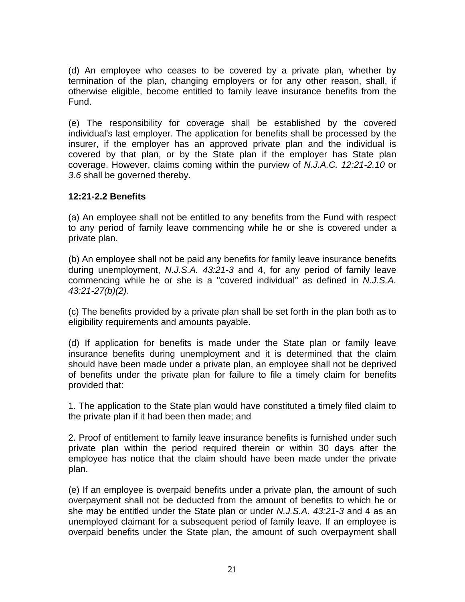(d) An employee who ceases to be covered by a private plan, whether by termination of the plan, changing employers or for any other reason, shall, if otherwise eligible, become entitled to family leave insurance benefits from the Fund.

(e) The responsibility for coverage shall be established by the covered individual's last employer. The application for benefits shall be processed by the insurer, if the employer has an approved private plan and the individual is covered by that plan, or by the State plan if the employer has State plan coverage. However, claims coming within the purview of *N.J.A.C. 12:21-2.10* or *3.6* shall be governed thereby.

#### **12:21-2.2 Benefits**

(a) An employee shall not be entitled to any benefits from the Fund with respect to any period of family leave commencing while he or she is covered under a private plan.

(b) An employee shall not be paid any benefits for family leave insurance benefits during unemployment, *N.J.S.A. 43:21-3* and 4, for any period of family leave commencing while he or she is a "covered individual" as defined in *N.J.S.A. 43:21-27(b)(2)*.

(c) The benefits provided by a private plan shall be set forth in the plan both as to eligibility requirements and amounts payable.

(d) If application for benefits is made under the State plan or family leave insurance benefits during unemployment and it is determined that the claim should have been made under a private plan, an employee shall not be deprived of benefits under the private plan for failure to file a timely claim for benefits provided that:

1. The application to the State plan would have constituted a timely filed claim to the private plan if it had been then made; and

2. Proof of entitlement to family leave insurance benefits is furnished under such private plan within the period required therein or within 30 days after the employee has notice that the claim should have been made under the private plan.

(e) If an employee is overpaid benefits under a private plan, the amount of such overpayment shall not be deducted from the amount of benefits to which he or she may be entitled under the State plan or under *N.J.S.A. 43:21-3* and 4 as an unemployed claimant for a subsequent period of family leave. If an employee is overpaid benefits under the State plan, the amount of such overpayment shall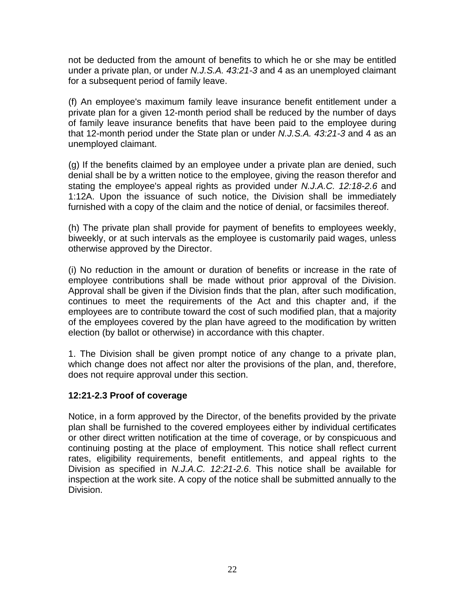not be deducted from the amount of benefits to which he or she may be entitled under a private plan, or under *N.J.S.A. 43:21-3* and 4 as an unemployed claimant for a subsequent period of family leave.

(f) An employee's maximum family leave insurance benefit entitlement under a private plan for a given 12-month period shall be reduced by the number of days of family leave insurance benefits that have been paid to the employee during that 12-month period under the State plan or under *N.J.S.A. 43:21-3* and 4 as an unemployed claimant.

(g) If the benefits claimed by an employee under a private plan are denied, such denial shall be by a written notice to the employee, giving the reason therefor and stating the employee's appeal rights as provided under *N.J.A.C. 12:18-2.6* and 1:12A. Upon the issuance of such notice, the Division shall be immediately furnished with a copy of the claim and the notice of denial, or facsimiles thereof.

(h) The private plan shall provide for payment of benefits to employees weekly, biweekly, or at such intervals as the employee is customarily paid wages, unless otherwise approved by the Director.

(i) No reduction in the amount or duration of benefits or increase in the rate of employee contributions shall be made without prior approval of the Division. Approval shall be given if the Division finds that the plan, after such modification, continues to meet the requirements of the Act and this chapter and, if the employees are to contribute toward the cost of such modified plan, that a majority of the employees covered by the plan have agreed to the modification by written election (by ballot or otherwise) in accordance with this chapter.

1. The Division shall be given prompt notice of any change to a private plan, which change does not affect nor alter the provisions of the plan, and, therefore, does not require approval under this section.

#### **12:21-2.3 Proof of coverage**

Notice, in a form approved by the Director, of the benefits provided by the private plan shall be furnished to the covered employees either by individual certificates or other direct written notification at the time of coverage, or by conspicuous and continuing posting at the place of employment. This notice shall reflect current rates, eligibility requirements, benefit entitlements, and appeal rights to the Division as specified in *N.J.A.C. 12:21-2.6*. This notice shall be available for inspection at the work site. A copy of the notice shall be submitted annually to the Division.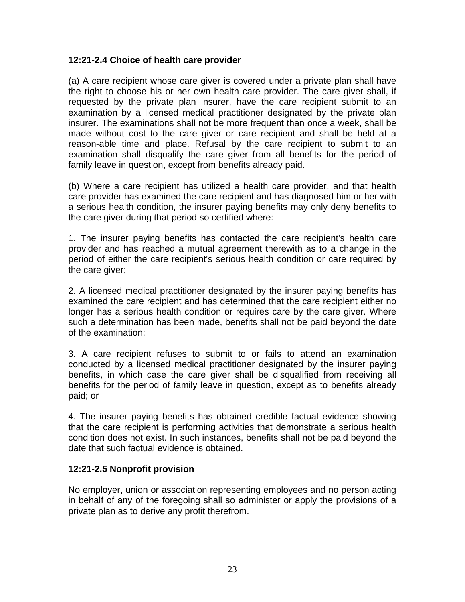#### **12:21-2.4 Choice of health care provider**

(a) A care recipient whose care giver is covered under a private plan shall have the right to choose his or her own health care provider. The care giver shall, if requested by the private plan insurer, have the care recipient submit to an examination by a licensed medical practitioner designated by the private plan insurer. The examinations shall not be more frequent than once a week, shall be made without cost to the care giver or care recipient and shall be held at a reason-able time and place. Refusal by the care recipient to submit to an examination shall disqualify the care giver from all benefits for the period of family leave in question, except from benefits already paid.

(b) Where a care recipient has utilized a health care provider, and that health care provider has examined the care recipient and has diagnosed him or her with a serious health condition, the insurer paying benefits may only deny benefits to the care giver during that period so certified where:

1. The insurer paying benefits has contacted the care recipient's health care provider and has reached a mutual agreement therewith as to a change in the period of either the care recipient's serious health condition or care required by the care giver;

2. A licensed medical practitioner designated by the insurer paying benefits has examined the care recipient and has determined that the care recipient either no longer has a serious health condition or requires care by the care giver. Where such a determination has been made, benefits shall not be paid beyond the date of the examination;

3. A care recipient refuses to submit to or fails to attend an examination conducted by a licensed medical practitioner designated by the insurer paying benefits, in which case the care giver shall be disqualified from receiving all benefits for the period of family leave in question, except as to benefits already paid; or

4. The insurer paying benefits has obtained credible factual evidence showing that the care recipient is performing activities that demonstrate a serious health condition does not exist. In such instances, benefits shall not be paid beyond the date that such factual evidence is obtained.

#### **12:21-2.5 Nonprofit provision**

No employer, union or association representing employees and no person acting in behalf of any of the foregoing shall so administer or apply the provisions of a private plan as to derive any profit therefrom.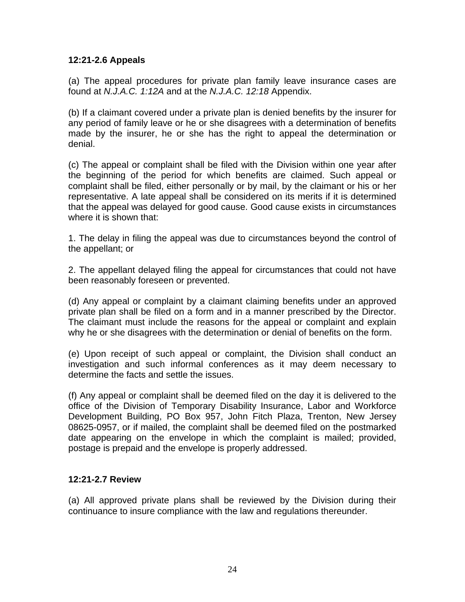#### **12:21-2.6 Appeals**

(a) The appeal procedures for private plan family leave insurance cases are found at *N.J.A.C. 1:12A* and at the *N.J.A.C. 12:18* Appendix.

(b) If a claimant covered under a private plan is denied benefits by the insurer for any period of family leave or he or she disagrees with a determination of benefits made by the insurer, he or she has the right to appeal the determination or denial.

(c) The appeal or complaint shall be filed with the Division within one year after the beginning of the period for which benefits are claimed. Such appeal or complaint shall be filed, either personally or by mail, by the claimant or his or her representative. A late appeal shall be considered on its merits if it is determined that the appeal was delayed for good cause. Good cause exists in circumstances where it is shown that:

1. The delay in filing the appeal was due to circumstances beyond the control of the appellant; or

2. The appellant delayed filing the appeal for circumstances that could not have been reasonably foreseen or prevented.

(d) Any appeal or complaint by a claimant claiming benefits under an approved private plan shall be filed on a form and in a manner prescribed by the Director. The claimant must include the reasons for the appeal or complaint and explain why he or she disagrees with the determination or denial of benefits on the form.

(e) Upon receipt of such appeal or complaint, the Division shall conduct an investigation and such informal conferences as it may deem necessary to determine the facts and settle the issues.

(f) Any appeal or complaint shall be deemed filed on the day it is delivered to the office of the Division of Temporary Disability Insurance, Labor and Workforce Development Building, PO Box 957, John Fitch Plaza, Trenton, New Jersey 08625-0957, or if mailed, the complaint shall be deemed filed on the postmarked date appearing on the envelope in which the complaint is mailed; provided, postage is prepaid and the envelope is properly addressed.

#### **12:21-2.7 Review**

(a) All approved private plans shall be reviewed by the Division during their continuance to insure compliance with the law and regulations thereunder.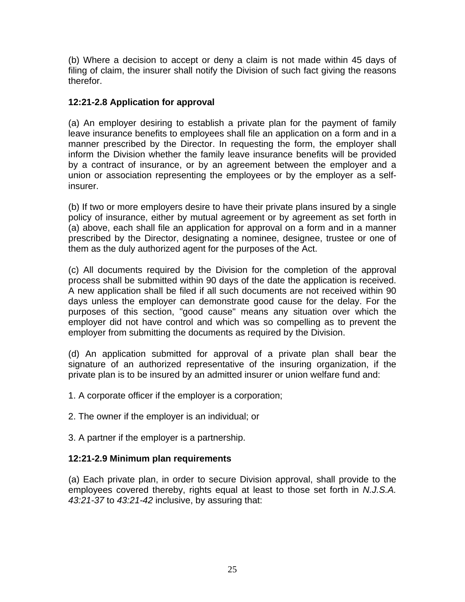(b) Where a decision to accept or deny a claim is not made within 45 days of filing of claim, the insurer shall notify the Division of such fact giving the reasons therefor.

#### **12:21-2.8 Application for approval**

(a) An employer desiring to establish a private plan for the payment of family leave insurance benefits to employees shall file an application on a form and in a manner prescribed by the Director. In requesting the form, the employer shall inform the Division whether the family leave insurance benefits will be provided by a contract of insurance, or by an agreement between the employer and a union or association representing the employees or by the employer as a selfinsurer.

(b) If two or more employers desire to have their private plans insured by a single policy of insurance, either by mutual agreement or by agreement as set forth in (a) above, each shall file an application for approval on a form and in a manner prescribed by the Director, designating a nominee, designee, trustee or one of them as the duly authorized agent for the purposes of the Act.

(c) All documents required by the Division for the completion of the approval process shall be submitted within 90 days of the date the application is received. A new application shall be filed if all such documents are not received within 90 days unless the employer can demonstrate good cause for the delay. For the purposes of this section, "good cause" means any situation over which the employer did not have control and which was so compelling as to prevent the employer from submitting the documents as required by the Division.

(d) An application submitted for approval of a private plan shall bear the signature of an authorized representative of the insuring organization, if the private plan is to be insured by an admitted insurer or union welfare fund and:

1. A corporate officer if the employer is a corporation;

2. The owner if the employer is an individual; or

3. A partner if the employer is a partnership.

#### **12:21-2.9 Minimum plan requirements**

(a) Each private plan, in order to secure Division approval, shall provide to the employees covered thereby, rights equal at least to those set forth in *N.J.S.A. 43:21-37* to *43:21-42* inclusive, by assuring that: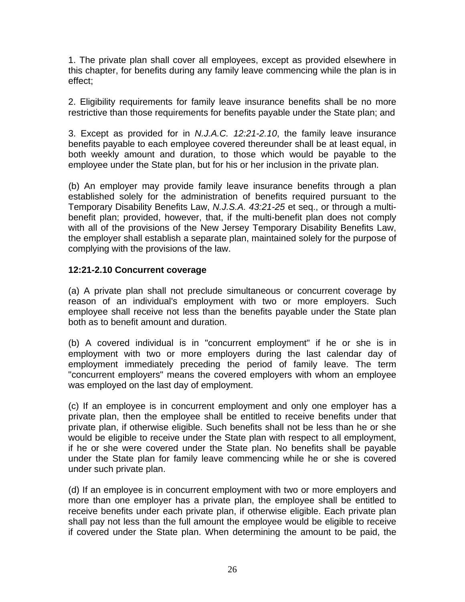1. The private plan shall cover all employees, except as provided elsewhere in this chapter, for benefits during any family leave commencing while the plan is in effect;

2. Eligibility requirements for family leave insurance benefits shall be no more restrictive than those requirements for benefits payable under the State plan; and

3. Except as provided for in *N.J.A.C. 12:21-2.10*, the family leave insurance benefits payable to each employee covered thereunder shall be at least equal, in both weekly amount and duration, to those which would be payable to the employee under the State plan, but for his or her inclusion in the private plan.

(b) An employer may provide family leave insurance benefits through a plan established solely for the administration of benefits required pursuant to the Temporary Disability Benefits Law, *N.J.S.A. 43:21-25* et seq., or through a multibenefit plan; provided, however, that, if the multi-benefit plan does not comply with all of the provisions of the New Jersey Temporary Disability Benefits Law, the employer shall establish a separate plan, maintained solely for the purpose of complying with the provisions of the law.

#### **12:21-2.10 Concurrent coverage**

(a) A private plan shall not preclude simultaneous or concurrent coverage by reason of an individual's employment with two or more employers. Such employee shall receive not less than the benefits payable under the State plan both as to benefit amount and duration.

(b) A covered individual is in "concurrent employment" if he or she is in employment with two or more employers during the last calendar day of employment immediately preceding the period of family leave. The term "concurrent employers" means the covered employers with whom an employee was employed on the last day of employment.

(c) If an employee is in concurrent employment and only one employer has a private plan, then the employee shall be entitled to receive benefits under that private plan, if otherwise eligible. Such benefits shall not be less than he or she would be eligible to receive under the State plan with respect to all employment, if he or she were covered under the State plan. No benefits shall be payable under the State plan for family leave commencing while he or she is covered under such private plan.

(d) If an employee is in concurrent employment with two or more employers and more than one employer has a private plan, the employee shall be entitled to receive benefits under each private plan, if otherwise eligible. Each private plan shall pay not less than the full amount the employee would be eligible to receive if covered under the State plan. When determining the amount to be paid, the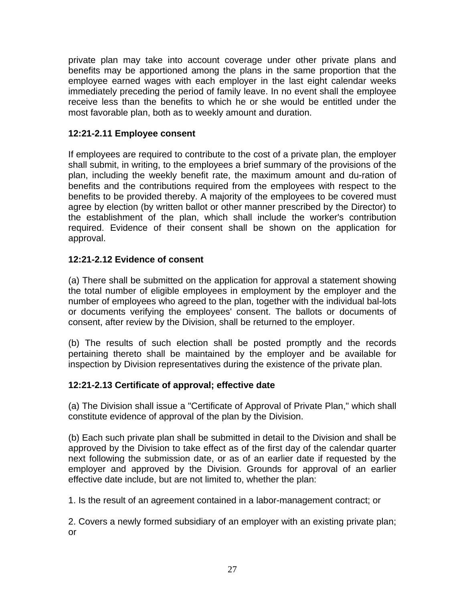private plan may take into account coverage under other private plans and benefits may be apportioned among the plans in the same proportion that the employee earned wages with each employer in the last eight calendar weeks immediately preceding the period of family leave. In no event shall the employee receive less than the benefits to which he or she would be entitled under the most favorable plan, both as to weekly amount and duration.

#### **12:21-2.11 Employee consent**

If employees are required to contribute to the cost of a private plan, the employer shall submit, in writing, to the employees a brief summary of the provisions of the plan, including the weekly benefit rate, the maximum amount and du-ration of benefits and the contributions required from the employees with respect to the benefits to be provided thereby. A majority of the employees to be covered must agree by election (by written ballot or other manner prescribed by the Director) to the establishment of the plan, which shall include the worker's contribution required. Evidence of their consent shall be shown on the application for approval.

#### **12:21-2.12 Evidence of consent**

(a) There shall be submitted on the application for approval a statement showing the total number of eligible employees in employment by the employer and the number of employees who agreed to the plan, together with the individual bal-lots or documents verifying the employees' consent. The ballots or documents of consent, after review by the Division, shall be returned to the employer.

(b) The results of such election shall be posted promptly and the records pertaining thereto shall be maintained by the employer and be available for inspection by Division representatives during the existence of the private plan.

#### **12:21-2.13 Certificate of approval; effective date**

(a) The Division shall issue a "Certificate of Approval of Private Plan," which shall constitute evidence of approval of the plan by the Division.

(b) Each such private plan shall be submitted in detail to the Division and shall be approved by the Division to take effect as of the first day of the calendar quarter next following the submission date, or as of an earlier date if requested by the employer and approved by the Division. Grounds for approval of an earlier effective date include, but are not limited to, whether the plan:

1. Is the result of an agreement contained in a labor-management contract; or

2. Covers a newly formed subsidiary of an employer with an existing private plan; or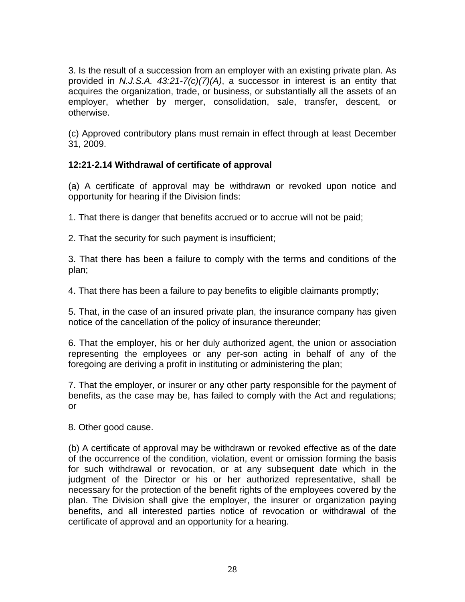3. Is the result of a succession from an employer with an existing private plan. As provided in *N.J.S.A. 43:21-7(c)(7)(A)*, a successor in interest is an entity that acquires the organization, trade, or business, or substantially all the assets of an employer, whether by merger, consolidation, sale, transfer, descent, or otherwise.

(c) Approved contributory plans must remain in effect through at least December 31, 2009.

# **12:21-2.14 Withdrawal of certificate of approval**

(a) A certificate of approval may be withdrawn or revoked upon notice and opportunity for hearing if the Division finds:

1. That there is danger that benefits accrued or to accrue will not be paid;

2. That the security for such payment is insufficient;

3. That there has been a failure to comply with the terms and conditions of the plan;

4. That there has been a failure to pay benefits to eligible claimants promptly;

5. That, in the case of an insured private plan, the insurance company has given notice of the cancellation of the policy of insurance thereunder;

6. That the employer, his or her duly authorized agent, the union or association representing the employees or any per-son acting in behalf of any of the foregoing are deriving a profit in instituting or administering the plan;

7. That the employer, or insurer or any other party responsible for the payment of benefits, as the case may be, has failed to comply with the Act and regulations; or

8. Other good cause.

(b) A certificate of approval may be withdrawn or revoked effective as of the date of the occurrence of the condition, violation, event or omission forming the basis for such withdrawal or revocation, or at any subsequent date which in the judgment of the Director or his or her authorized representative, shall be necessary for the protection of the benefit rights of the employees covered by the plan. The Division shall give the employer, the insurer or organization paying benefits, and all interested parties notice of revocation or withdrawal of the certificate of approval and an opportunity for a hearing.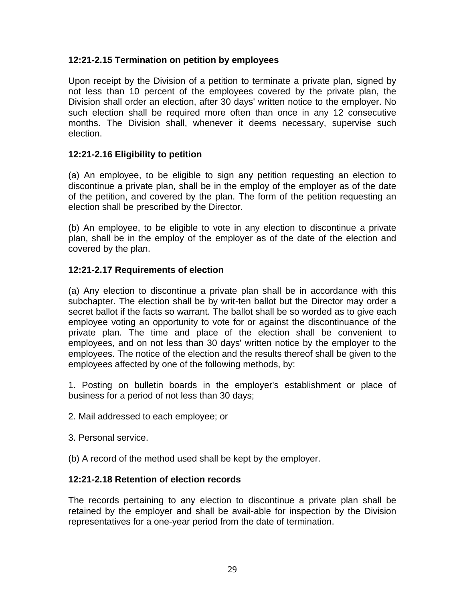#### **12:21-2.15 Termination on petition by employees**

Upon receipt by the Division of a petition to terminate a private plan, signed by not less than 10 percent of the employees covered by the private plan, the Division shall order an election, after 30 days' written notice to the employer. No such election shall be required more often than once in any 12 consecutive months. The Division shall, whenever it deems necessary, supervise such election.

#### **12:21-2.16 Eligibility to petition**

(a) An employee, to be eligible to sign any petition requesting an election to discontinue a private plan, shall be in the employ of the employer as of the date of the petition, and covered by the plan. The form of the petition requesting an election shall be prescribed by the Director.

(b) An employee, to be eligible to vote in any election to discontinue a private plan, shall be in the employ of the employer as of the date of the election and covered by the plan.

#### **12:21-2.17 Requirements of election**

(a) Any election to discontinue a private plan shall be in accordance with this subchapter. The election shall be by writ-ten ballot but the Director may order a secret ballot if the facts so warrant. The ballot shall be so worded as to give each employee voting an opportunity to vote for or against the discontinuance of the private plan. The time and place of the election shall be convenient to employees, and on not less than 30 days' written notice by the employer to the employees. The notice of the election and the results thereof shall be given to the employees affected by one of the following methods, by:

1. Posting on bulletin boards in the employer's establishment or place of business for a period of not less than 30 days;

- 2. Mail addressed to each employee; or
- 3. Personal service.
- (b) A record of the method used shall be kept by the employer.

#### **12:21-2.18 Retention of election records**

The records pertaining to any election to discontinue a private plan shall be retained by the employer and shall be avail-able for inspection by the Division representatives for a one-year period from the date of termination.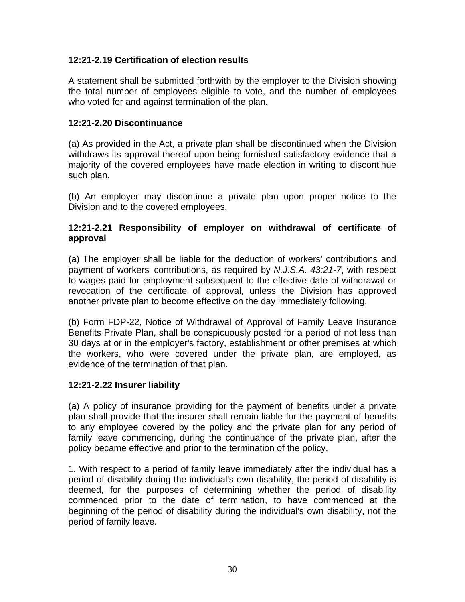#### **12:21-2.19 Certification of election results**

A statement shall be submitted forthwith by the employer to the Division showing the total number of employees eligible to vote, and the number of employees who voted for and against termination of the plan.

#### **12:21-2.20 Discontinuance**

(a) As provided in the Act, a private plan shall be discontinued when the Division withdraws its approval thereof upon being furnished satisfactory evidence that a majority of the covered employees have made election in writing to discontinue such plan.

(b) An employer may discontinue a private plan upon proper notice to the Division and to the covered employees.

#### **12:21-2.21 Responsibility of employer on withdrawal of certificate of approval**

(a) The employer shall be liable for the deduction of workers' contributions and payment of workers' contributions, as required by *N.J.S.A. 43:21-7*, with respect to wages paid for employment subsequent to the effective date of withdrawal or revocation of the certificate of approval, unless the Division has approved another private plan to become effective on the day immediately following.

(b) Form FDP-22, Notice of Withdrawal of Approval of Family Leave Insurance Benefits Private Plan, shall be conspicuously posted for a period of not less than 30 days at or in the employer's factory, establishment or other premises at which the workers, who were covered under the private plan, are employed, as evidence of the termination of that plan.

#### **12:21-2.22 Insurer liability**

(a) A policy of insurance providing for the payment of benefits under a private plan shall provide that the insurer shall remain liable for the payment of benefits to any employee covered by the policy and the private plan for any period of family leave commencing, during the continuance of the private plan, after the policy became effective and prior to the termination of the policy.

1. With respect to a period of family leave immediately after the individual has a period of disability during the individual's own disability, the period of disability is deemed, for the purposes of determining whether the period of disability commenced prior to the date of termination, to have commenced at the beginning of the period of disability during the individual's own disability, not the period of family leave.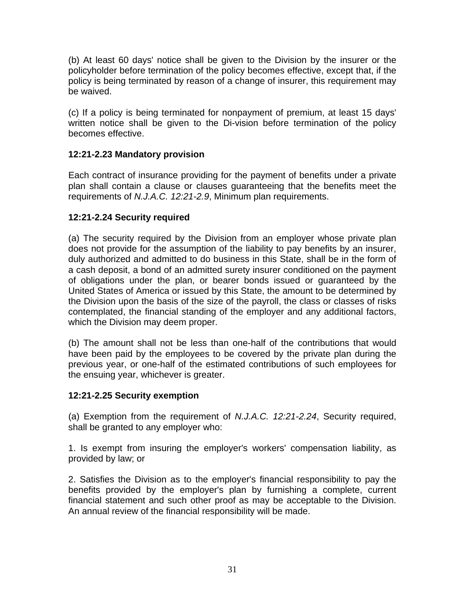(b) At least 60 days' notice shall be given to the Division by the insurer or the policyholder before termination of the policy becomes effective, except that, if the policy is being terminated by reason of a change of insurer, this requirement may be waived.

(c) If a policy is being terminated for nonpayment of premium, at least 15 days' written notice shall be given to the Di-vision before termination of the policy becomes effective.

### **12:21-2.23 Mandatory provision**

Each contract of insurance providing for the payment of benefits under a private plan shall contain a clause or clauses guaranteeing that the benefits meet the requirements of *N.J.A.C. 12:21-2.9*, Minimum plan requirements.

#### **12:21-2.24 Security required**

(a) The security required by the Division from an employer whose private plan does not provide for the assumption of the liability to pay benefits by an insurer, duly authorized and admitted to do business in this State, shall be in the form of a cash deposit, a bond of an admitted surety insurer conditioned on the payment of obligations under the plan, or bearer bonds issued or guaranteed by the United States of America or issued by this State, the amount to be determined by the Division upon the basis of the size of the payroll, the class or classes of risks contemplated, the financial standing of the employer and any additional factors, which the Division may deem proper.

(b) The amount shall not be less than one-half of the contributions that would have been paid by the employees to be covered by the private plan during the previous year, or one-half of the estimated contributions of such employees for the ensuing year, whichever is greater.

#### **12:21-2.25 Security exemption**

(a) Exemption from the requirement of *N.J.A.C. 12:21-2.24*, Security required, shall be granted to any employer who:

1. Is exempt from insuring the employer's workers' compensation liability, as provided by law; or

2. Satisfies the Division as to the employer's financial responsibility to pay the benefits provided by the employer's plan by furnishing a complete, current financial statement and such other proof as may be acceptable to the Division. An annual review of the financial responsibility will be made.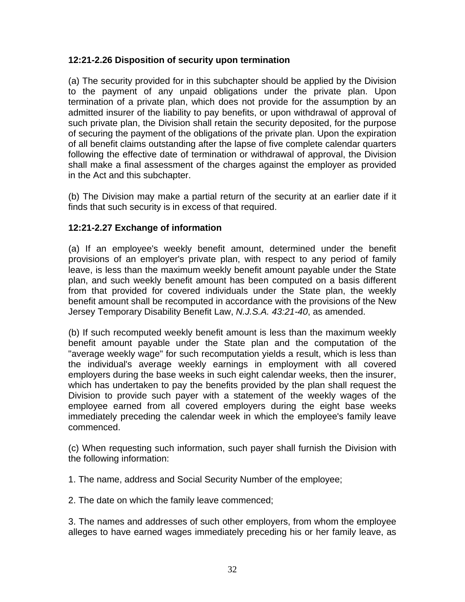#### **12:21-2.26 Disposition of security upon termination**

(a) The security provided for in this subchapter should be applied by the Division to the payment of any unpaid obligations under the private plan. Upon termination of a private plan, which does not provide for the assumption by an admitted insurer of the liability to pay benefits, or upon withdrawal of approval of such private plan, the Division shall retain the security deposited, for the purpose of securing the payment of the obligations of the private plan. Upon the expiration of all benefit claims outstanding after the lapse of five complete calendar quarters following the effective date of termination or withdrawal of approval, the Division shall make a final assessment of the charges against the employer as provided in the Act and this subchapter.

(b) The Division may make a partial return of the security at an earlier date if it finds that such security is in excess of that required.

#### **12:21-2.27 Exchange of information**

(a) If an employee's weekly benefit amount, determined under the benefit provisions of an employer's private plan, with respect to any period of family leave, is less than the maximum weekly benefit amount payable under the State plan, and such weekly benefit amount has been computed on a basis different from that provided for covered individuals under the State plan, the weekly benefit amount shall be recomputed in accordance with the provisions of the New Jersey Temporary Disability Benefit Law, *N.J.S.A. 43:21-40*, as amended.

(b) If such recomputed weekly benefit amount is less than the maximum weekly benefit amount payable under the State plan and the computation of the "average weekly wage" for such recomputation yields a result, which is less than the individual's average weekly earnings in employment with all covered employers during the base weeks in such eight calendar weeks, then the insurer, which has undertaken to pay the benefits provided by the plan shall request the Division to provide such payer with a statement of the weekly wages of the employee earned from all covered employers during the eight base weeks immediately preceding the calendar week in which the employee's family leave commenced.

(c) When requesting such information, such payer shall furnish the Division with the following information:

1. The name, address and Social Security Number of the employee;

2. The date on which the family leave commenced;

3. The names and addresses of such other employers, from whom the employee alleges to have earned wages immediately preceding his or her family leave, as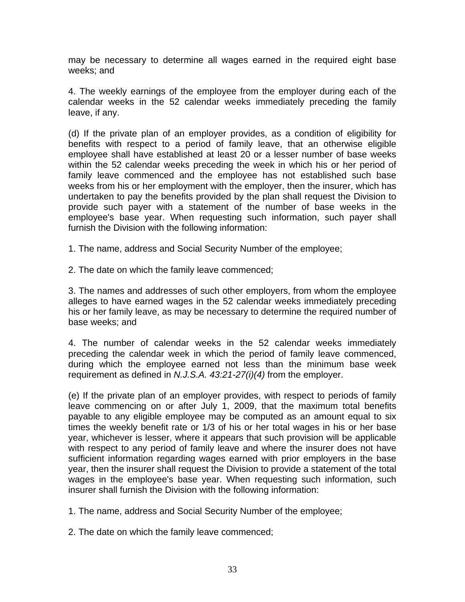may be necessary to determine all wages earned in the required eight base weeks; and

4. The weekly earnings of the employee from the employer during each of the calendar weeks in the 52 calendar weeks immediately preceding the family leave, if any.

(d) If the private plan of an employer provides, as a condition of eligibility for benefits with respect to a period of family leave, that an otherwise eligible employee shall have established at least 20 or a lesser number of base weeks within the 52 calendar weeks preceding the week in which his or her period of family leave commenced and the employee has not established such base weeks from his or her employment with the employer, then the insurer, which has undertaken to pay the benefits provided by the plan shall request the Division to provide such payer with a statement of the number of base weeks in the employee's base year. When requesting such information, such payer shall furnish the Division with the following information:

1. The name, address and Social Security Number of the employee;

2. The date on which the family leave commenced;

3. The names and addresses of such other employers, from whom the employee alleges to have earned wages in the 52 calendar weeks immediately preceding his or her family leave, as may be necessary to determine the required number of base weeks; and

4. The number of calendar weeks in the 52 calendar weeks immediately preceding the calendar week in which the period of family leave commenced, during which the employee earned not less than the minimum base week requirement as defined in *N.J.S.A. 43:21-27(i)(4)* from the employer.

(e) If the private plan of an employer provides, with respect to periods of family leave commencing on or after July 1, 2009, that the maximum total benefits payable to any eligible employee may be computed as an amount equal to six times the weekly benefit rate or 1/3 of his or her total wages in his or her base year, whichever is lesser, where it appears that such provision will be applicable with respect to any period of family leave and where the insurer does not have sufficient information regarding wages earned with prior employers in the base year, then the insurer shall request the Division to provide a statement of the total wages in the employee's base year. When requesting such information, such insurer shall furnish the Division with the following information:

1. The name, address and Social Security Number of the employee;

2. The date on which the family leave commenced;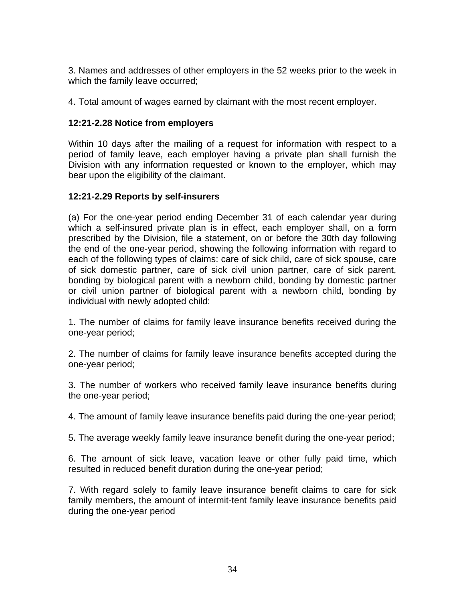3. Names and addresses of other employers in the 52 weeks prior to the week in which the family leave occurred;

4. Total amount of wages earned by claimant with the most recent employer.

#### **12:21-2.28 Notice from employers**

Within 10 days after the mailing of a request for information with respect to a period of family leave, each employer having a private plan shall furnish the Division with any information requested or known to the employer, which may bear upon the eligibility of the claimant.

#### **12:21-2.29 Reports by self-insurers**

(a) For the one-year period ending December 31 of each calendar year during which a self-insured private plan is in effect, each employer shall, on a form prescribed by the Division, file a statement, on or before the 30th day following the end of the one-year period, showing the following information with regard to each of the following types of claims: care of sick child, care of sick spouse, care of sick domestic partner, care of sick civil union partner, care of sick parent, bonding by biological parent with a newborn child, bonding by domestic partner or civil union partner of biological parent with a newborn child, bonding by individual with newly adopted child:

1. The number of claims for family leave insurance benefits received during the one-year period;

2. The number of claims for family leave insurance benefits accepted during the one-year period;

3. The number of workers who received family leave insurance benefits during the one-year period;

4. The amount of family leave insurance benefits paid during the one-year period;

5. The average weekly family leave insurance benefit during the one-year period;

6. The amount of sick leave, vacation leave or other fully paid time, which resulted in reduced benefit duration during the one-year period;

7. With regard solely to family leave insurance benefit claims to care for sick family members, the amount of intermit-tent family leave insurance benefits paid during the one-year period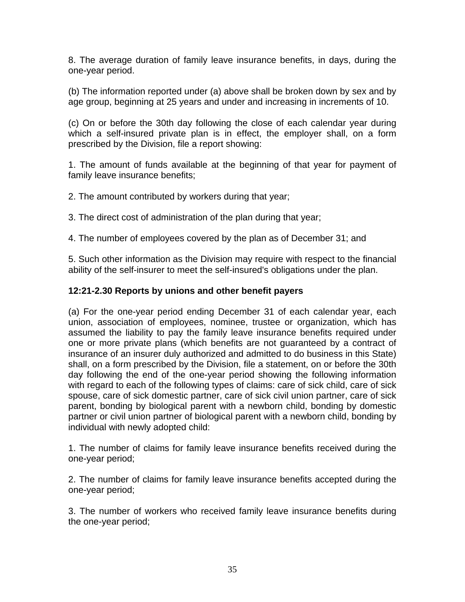8. The average duration of family leave insurance benefits, in days, during the one-year period.

(b) The information reported under (a) above shall be broken down by sex and by age group, beginning at 25 years and under and increasing in increments of 10.

(c) On or before the 30th day following the close of each calendar year during which a self-insured private plan is in effect, the employer shall, on a form prescribed by the Division, file a report showing:

1. The amount of funds available at the beginning of that year for payment of family leave insurance benefits;

2. The amount contributed by workers during that year;

3. The direct cost of administration of the plan during that year;

4. The number of employees covered by the plan as of December 31; and

5. Such other information as the Division may require with respect to the financial ability of the self-insurer to meet the self-insured's obligations under the plan.

# **12:21-2.30 Reports by unions and other benefit payers**

(a) For the one-year period ending December 31 of each calendar year, each union, association of employees, nominee, trustee or organization, which has assumed the liability to pay the family leave insurance benefits required under one or more private plans (which benefits are not guaranteed by a contract of insurance of an insurer duly authorized and admitted to do business in this State) shall, on a form prescribed by the Division, file a statement, on or before the 30th day following the end of the one-year period showing the following information with regard to each of the following types of claims: care of sick child, care of sick spouse, care of sick domestic partner, care of sick civil union partner, care of sick parent, bonding by biological parent with a newborn child, bonding by domestic partner or civil union partner of biological parent with a newborn child, bonding by individual with newly adopted child:

1. The number of claims for family leave insurance benefits received during the one-year period;

2. The number of claims for family leave insurance benefits accepted during the one-year period;

3. The number of workers who received family leave insurance benefits during the one-year period;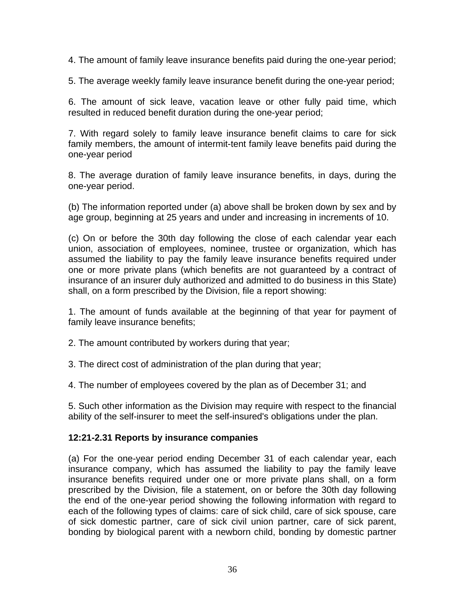4. The amount of family leave insurance benefits paid during the one-year period;

5. The average weekly family leave insurance benefit during the one-year period;

6. The amount of sick leave, vacation leave or other fully paid time, which resulted in reduced benefit duration during the one-year period;

7. With regard solely to family leave insurance benefit claims to care for sick family members, the amount of intermit-tent family leave benefits paid during the one-year period

8. The average duration of family leave insurance benefits, in days, during the one-year period.

(b) The information reported under (a) above shall be broken down by sex and by age group, beginning at 25 years and under and increasing in increments of 10.

(c) On or before the 30th day following the close of each calendar year each union, association of employees, nominee, trustee or organization, which has assumed the liability to pay the family leave insurance benefits required under one or more private plans (which benefits are not guaranteed by a contract of insurance of an insurer duly authorized and admitted to do business in this State) shall, on a form prescribed by the Division, file a report showing:

1. The amount of funds available at the beginning of that year for payment of family leave insurance benefits;

2. The amount contributed by workers during that year;

3. The direct cost of administration of the plan during that year;

4. The number of employees covered by the plan as of December 31; and

5. Such other information as the Division may require with respect to the financial ability of the self-insurer to meet the self-insured's obligations under the plan.

#### **12:21-2.31 Reports by insurance companies**

(a) For the one-year period ending December 31 of each calendar year, each insurance company, which has assumed the liability to pay the family leave insurance benefits required under one or more private plans shall, on a form prescribed by the Division, file a statement, on or before the 30th day following the end of the one-year period showing the following information with regard to each of the following types of claims: care of sick child, care of sick spouse, care of sick domestic partner, care of sick civil union partner, care of sick parent, bonding by biological parent with a newborn child, bonding by domestic partner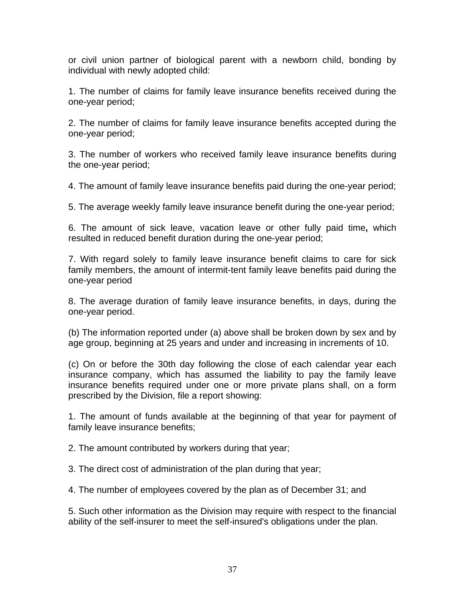or civil union partner of biological parent with a newborn child, bonding by individual with newly adopted child:

1. The number of claims for family leave insurance benefits received during the one-year period;

2. The number of claims for family leave insurance benefits accepted during the one-year period;

3. The number of workers who received family leave insurance benefits during the one-year period;

4. The amount of family leave insurance benefits paid during the one-year period;

5. The average weekly family leave insurance benefit during the one-year period;

6. The amount of sick leave, vacation leave or other fully paid time**,** which resulted in reduced benefit duration during the one-year period;

7. With regard solely to family leave insurance benefit claims to care for sick family members, the amount of intermit-tent family leave benefits paid during the one-year period

8. The average duration of family leave insurance benefits, in days, during the one-year period.

(b) The information reported under (a) above shall be broken down by sex and by age group, beginning at 25 years and under and increasing in increments of 10.

(c) On or before the 30th day following the close of each calendar year each insurance company, which has assumed the liability to pay the family leave insurance benefits required under one or more private plans shall, on a form prescribed by the Division, file a report showing:

1. The amount of funds available at the beginning of that year for payment of family leave insurance benefits;

2. The amount contributed by workers during that year;

3. The direct cost of administration of the plan during that year;

4. The number of employees covered by the plan as of December 31; and

5. Such other information as the Division may require with respect to the financial ability of the self-insurer to meet the self-insured's obligations under the plan.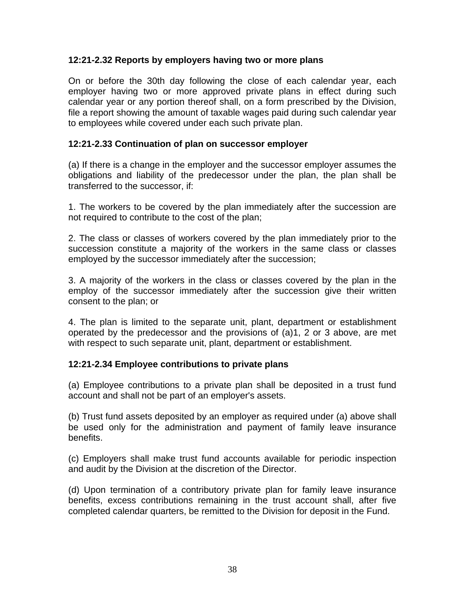#### **12:21-2.32 Reports by employers having two or more plans**

On or before the 30th day following the close of each calendar year, each employer having two or more approved private plans in effect during such calendar year or any portion thereof shall, on a form prescribed by the Division, file a report showing the amount of taxable wages paid during such calendar year to employees while covered under each such private plan.

#### **12:21-2.33 Continuation of plan on successor employer**

(a) If there is a change in the employer and the successor employer assumes the obligations and liability of the predecessor under the plan, the plan shall be transferred to the successor, if:

1. The workers to be covered by the plan immediately after the succession are not required to contribute to the cost of the plan;

2. The class or classes of workers covered by the plan immediately prior to the succession constitute a majority of the workers in the same class or classes employed by the successor immediately after the succession;

3. A majority of the workers in the class or classes covered by the plan in the employ of the successor immediately after the succession give their written consent to the plan; or

4. The plan is limited to the separate unit, plant, department or establishment operated by the predecessor and the provisions of (a)1, 2 or 3 above, are met with respect to such separate unit, plant, department or establishment.

#### **12:21-2.34 Employee contributions to private plans**

(a) Employee contributions to a private plan shall be deposited in a trust fund account and shall not be part of an employer's assets.

(b) Trust fund assets deposited by an employer as required under (a) above shall be used only for the administration and payment of family leave insurance benefits.

(c) Employers shall make trust fund accounts available for periodic inspection and audit by the Division at the discretion of the Director.

(d) Upon termination of a contributory private plan for family leave insurance benefits, excess contributions remaining in the trust account shall, after five completed calendar quarters, be remitted to the Division for deposit in the Fund.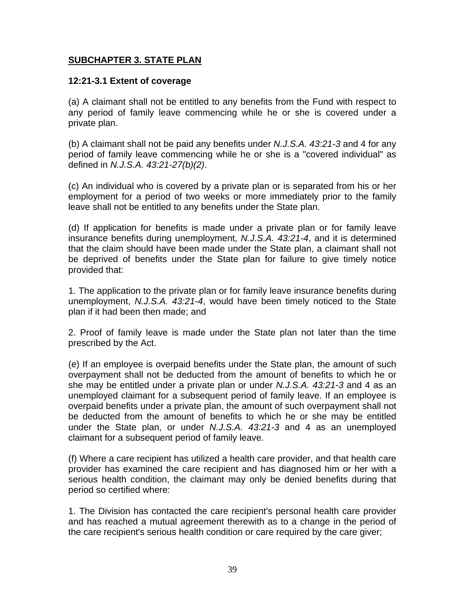#### **SUBCHAPTER 3. STATE PLAN**

#### **12:21-3.1 Extent of coverage**

(a) A claimant shall not be entitled to any benefits from the Fund with respect to any period of family leave commencing while he or she is covered under a private plan.

(b) A claimant shall not be paid any benefits under *N.J.S.A. 43:21-3* and 4 for any period of family leave commencing while he or she is a "covered individual" as defined in *N.J.S.A. 43:21-27(b)(2)*.

(c) An individual who is covered by a private plan or is separated from his or her employment for a period of two weeks or more immediately prior to the family leave shall not be entitled to any benefits under the State plan.

(d) If application for benefits is made under a private plan or for family leave insurance benefits during unemployment, *N.J.S.A. 43:21-4*, and it is determined that the claim should have been made under the State plan, a claimant shall not be deprived of benefits under the State plan for failure to give timely notice provided that:

1. The application to the private plan or for family leave insurance benefits during unemployment, *N.J.S.A. 43:21-4*, would have been timely noticed to the State plan if it had been then made; and

2. Proof of family leave is made under the State plan not later than the time prescribed by the Act.

(e) If an employee is overpaid benefits under the State plan, the amount of such overpayment shall not be deducted from the amount of benefits to which he or she may be entitled under a private plan or under *N.J.S.A. 43:21-3* and 4 as an unemployed claimant for a subsequent period of family leave. If an employee is overpaid benefits under a private plan, the amount of such overpayment shall not be deducted from the amount of benefits to which he or she may be entitled under the State plan, or under *N.J.S.A. 43:21-3* and 4 as an unemployed claimant for a subsequent period of family leave.

(f) Where a care recipient has utilized a health care provider, and that health care provider has examined the care recipient and has diagnosed him or her with a serious health condition, the claimant may only be denied benefits during that period so certified where:

1. The Division has contacted the care recipient's personal health care provider and has reached a mutual agreement therewith as to a change in the period of the care recipient's serious health condition or care required by the care giver;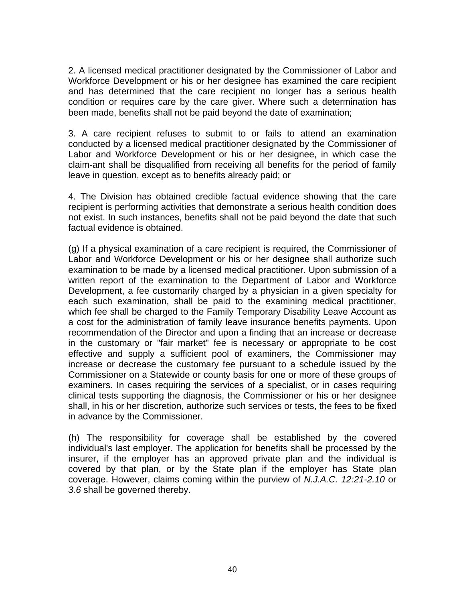2. A licensed medical practitioner designated by the Commissioner of Labor and Workforce Development or his or her designee has examined the care recipient and has determined that the care recipient no longer has a serious health condition or requires care by the care giver. Where such a determination has been made, benefits shall not be paid beyond the date of examination;

3. A care recipient refuses to submit to or fails to attend an examination conducted by a licensed medical practitioner designated by the Commissioner of Labor and Workforce Development or his or her designee, in which case the claim-ant shall be disqualified from receiving all benefits for the period of family leave in question, except as to benefits already paid; or

4. The Division has obtained credible factual evidence showing that the care recipient is performing activities that demonstrate a serious health condition does not exist. In such instances, benefits shall not be paid beyond the date that such factual evidence is obtained.

(g) If a physical examination of a care recipient is required, the Commissioner of Labor and Workforce Development or his or her designee shall authorize such examination to be made by a licensed medical practitioner. Upon submission of a written report of the examination to the Department of Labor and Workforce Development, a fee customarily charged by a physician in a given specialty for each such examination, shall be paid to the examining medical practitioner, which fee shall be charged to the Family Temporary Disability Leave Account as a cost for the administration of family leave insurance benefits payments. Upon recommendation of the Director and upon a finding that an increase or decrease in the customary or "fair market" fee is necessary or appropriate to be cost effective and supply a sufficient pool of examiners, the Commissioner may increase or decrease the customary fee pursuant to a schedule issued by the Commissioner on a Statewide or county basis for one or more of these groups of examiners. In cases requiring the services of a specialist, or in cases requiring clinical tests supporting the diagnosis, the Commissioner or his or her designee shall, in his or her discretion, authorize such services or tests, the fees to be fixed in advance by the Commissioner.

(h) The responsibility for coverage shall be established by the covered individual's last employer. The application for benefits shall be processed by the insurer, if the employer has an approved private plan and the individual is covered by that plan, or by the State plan if the employer has State plan coverage. However, claims coming within the purview of *N.J.A.C. 12:21-2.10* or *3.6* shall be governed thereby.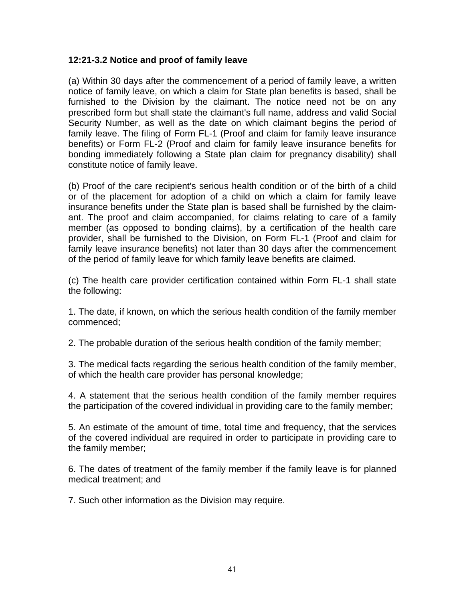#### **12:21-3.2 Notice and proof of family leave**

(a) Within 30 days after the commencement of a period of family leave, a written notice of family leave, on which a claim for State plan benefits is based, shall be furnished to the Division by the claimant. The notice need not be on any prescribed form but shall state the claimant's full name, address and valid Social Security Number, as well as the date on which claimant begins the period of family leave. The filing of Form FL-1 (Proof and claim for family leave insurance benefits) or Form FL-2 (Proof and claim for family leave insurance benefits for bonding immediately following a State plan claim for pregnancy disability) shall constitute notice of family leave.

(b) Proof of the care recipient's serious health condition or of the birth of a child or of the placement for adoption of a child on which a claim for family leave insurance benefits under the State plan is based shall be furnished by the claimant. The proof and claim accompanied, for claims relating to care of a family member (as opposed to bonding claims), by a certification of the health care provider, shall be furnished to the Division, on Form FL-1 (Proof and claim for family leave insurance benefits) not later than 30 days after the commencement of the period of family leave for which family leave benefits are claimed.

(c) The health care provider certification contained within Form FL-1 shall state the following:

1. The date, if known, on which the serious health condition of the family member commenced;

2. The probable duration of the serious health condition of the family member;

3. The medical facts regarding the serious health condition of the family member, of which the health care provider has personal knowledge;

4. A statement that the serious health condition of the family member requires the participation of the covered individual in providing care to the family member;

5. An estimate of the amount of time, total time and frequency, that the services of the covered individual are required in order to participate in providing care to the family member;

6. The dates of treatment of the family member if the family leave is for planned medical treatment; and

7. Such other information as the Division may require.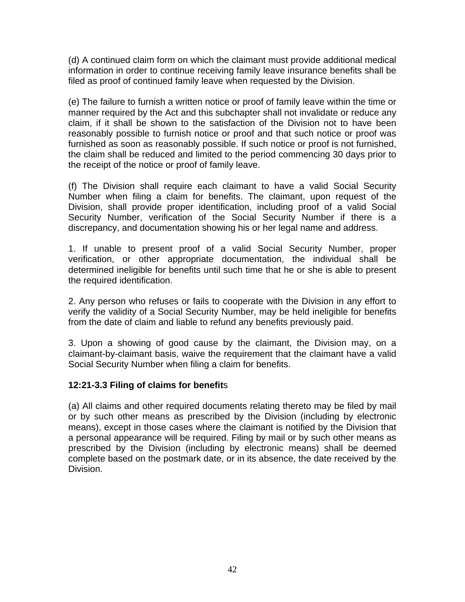(d) A continued claim form on which the claimant must provide additional medical information in order to continue receiving family leave insurance benefits shall be filed as proof of continued family leave when requested by the Division.

(e) The failure to furnish a written notice or proof of family leave within the time or manner required by the Act and this subchapter shall not invalidate or reduce any claim, if it shall be shown to the satisfaction of the Division not to have been reasonably possible to furnish notice or proof and that such notice or proof was furnished as soon as reasonably possible. If such notice or proof is not furnished, the claim shall be reduced and limited to the period commencing 30 days prior to the receipt of the notice or proof of family leave.

(f) The Division shall require each claimant to have a valid Social Security Number when filing a claim for benefits. The claimant, upon request of the Division, shall provide proper identification, including proof of a valid Social Security Number, verification of the Social Security Number if there is a discrepancy, and documentation showing his or her legal name and address.

1. If unable to present proof of a valid Social Security Number, proper verification, or other appropriate documentation, the individual shall be determined ineligible for benefits until such time that he or she is able to present the required identification.

2. Any person who refuses or fails to cooperate with the Division in any effort to verify the validity of a Social Security Number, may be held ineligible for benefits from the date of claim and liable to refund any benefits previously paid.

3. Upon a showing of good cause by the claimant, the Division may, on a claimant-by-claimant basis, waive the requirement that the claimant have a valid Social Security Number when filing a claim for benefits.

#### **12:21-3.3 Filing of claims for benefit**s

(a) All claims and other required documents relating thereto may be filed by mail or by such other means as prescribed by the Division (including by electronic means), except in those cases where the claimant is notified by the Division that a personal appearance will be required. Filing by mail or by such other means as prescribed by the Division (including by electronic means) shall be deemed complete based on the postmark date, or in its absence, the date received by the Division.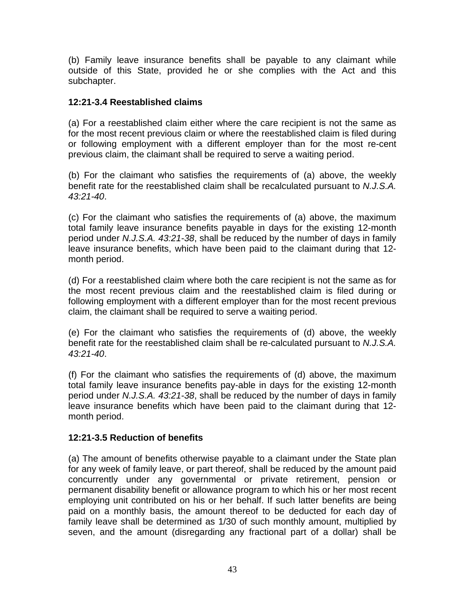(b) Family leave insurance benefits shall be payable to any claimant while outside of this State, provided he or she complies with the Act and this subchapter.

#### **12:21-3.4 Reestablished claims**

(a) For a reestablished claim either where the care recipient is not the same as for the most recent previous claim or where the reestablished claim is filed during or following employment with a different employer than for the most re-cent previous claim, the claimant shall be required to serve a waiting period.

(b) For the claimant who satisfies the requirements of (a) above, the weekly benefit rate for the reestablished claim shall be recalculated pursuant to *N.J.S.A. 43:21-40*.

(c) For the claimant who satisfies the requirements of (a) above, the maximum total family leave insurance benefits payable in days for the existing 12-month period under *N.J.S.A. 43:21-38*, shall be reduced by the number of days in family leave insurance benefits, which have been paid to the claimant during that 12 month period.

(d) For a reestablished claim where both the care recipient is not the same as for the most recent previous claim and the reestablished claim is filed during or following employment with a different employer than for the most recent previous claim, the claimant shall be required to serve a waiting period.

(e) For the claimant who satisfies the requirements of (d) above, the weekly benefit rate for the reestablished claim shall be re-calculated pursuant to *N.J.S.A. 43:21-40*.

(f) For the claimant who satisfies the requirements of (d) above, the maximum total family leave insurance benefits pay-able in days for the existing 12-month period under *N.J.S.A. 43:21-38*, shall be reduced by the number of days in family leave insurance benefits which have been paid to the claimant during that 12 month period.

#### **12:21-3.5 Reduction of benefits**

(a) The amount of benefits otherwise payable to a claimant under the State plan for any week of family leave, or part thereof, shall be reduced by the amount paid concurrently under any governmental or private retirement, pension or permanent disability benefit or allowance program to which his or her most recent employing unit contributed on his or her behalf. If such latter benefits are being paid on a monthly basis, the amount thereof to be deducted for each day of family leave shall be determined as 1/30 of such monthly amount, multiplied by seven, and the amount (disregarding any fractional part of a dollar) shall be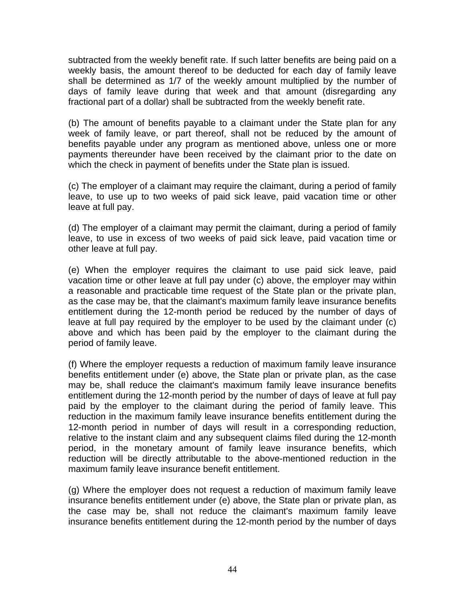subtracted from the weekly benefit rate. If such latter benefits are being paid on a weekly basis, the amount thereof to be deducted for each day of family leave shall be determined as 1/7 of the weekly amount multiplied by the number of days of family leave during that week and that amount (disregarding any fractional part of a dollar) shall be subtracted from the weekly benefit rate.

(b) The amount of benefits payable to a claimant under the State plan for any week of family leave, or part thereof, shall not be reduced by the amount of benefits payable under any program as mentioned above, unless one or more payments thereunder have been received by the claimant prior to the date on which the check in payment of benefits under the State plan is issued.

(c) The employer of a claimant may require the claimant, during a period of family leave, to use up to two weeks of paid sick leave, paid vacation time or other leave at full pay.

(d) The employer of a claimant may permit the claimant, during a period of family leave, to use in excess of two weeks of paid sick leave, paid vacation time or other leave at full pay.

(e) When the employer requires the claimant to use paid sick leave, paid vacation time or other leave at full pay under (c) above, the employer may within a reasonable and practicable time request of the State plan or the private plan, as the case may be, that the claimant's maximum family leave insurance benefits entitlement during the 12-month period be reduced by the number of days of leave at full pay required by the employer to be used by the claimant under (c) above and which has been paid by the employer to the claimant during the period of family leave.

(f) Where the employer requests a reduction of maximum family leave insurance benefits entitlement under (e) above, the State plan or private plan, as the case may be, shall reduce the claimant's maximum family leave insurance benefits entitlement during the 12-month period by the number of days of leave at full pay paid by the employer to the claimant during the period of family leave. This reduction in the maximum family leave insurance benefits entitlement during the 12-month period in number of days will result in a corresponding reduction, relative to the instant claim and any subsequent claims filed during the 12-month period, in the monetary amount of family leave insurance benefits, which reduction will be directly attributable to the above-mentioned reduction in the maximum family leave insurance benefit entitlement.

(g) Where the employer does not request a reduction of maximum family leave insurance benefits entitlement under (e) above, the State plan or private plan, as the case may be, shall not reduce the claimant's maximum family leave insurance benefits entitlement during the 12-month period by the number of days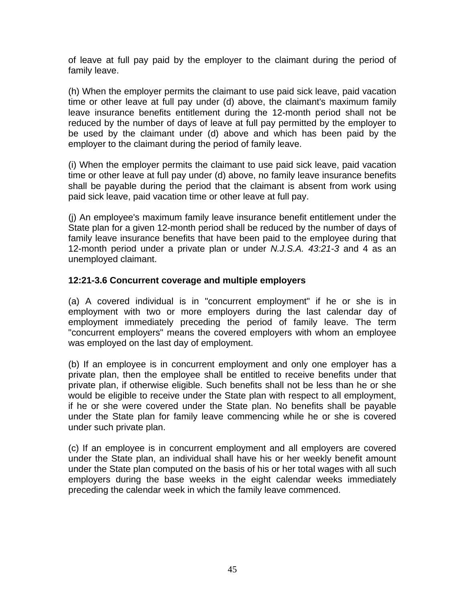of leave at full pay paid by the employer to the claimant during the period of family leave.

(h) When the employer permits the claimant to use paid sick leave, paid vacation time or other leave at full pay under (d) above, the claimant's maximum family leave insurance benefits entitlement during the 12-month period shall not be reduced by the number of days of leave at full pay permitted by the employer to be used by the claimant under (d) above and which has been paid by the employer to the claimant during the period of family leave.

(i) When the employer permits the claimant to use paid sick leave, paid vacation time or other leave at full pay under (d) above, no family leave insurance benefits shall be payable during the period that the claimant is absent from work using paid sick leave, paid vacation time or other leave at full pay.

(j) An employee's maximum family leave insurance benefit entitlement under the State plan for a given 12-month period shall be reduced by the number of days of family leave insurance benefits that have been paid to the employee during that 12-month period under a private plan or under *N.J.S.A. 43:21-3* and 4 as an unemployed claimant.

#### **12:21-3.6 Concurrent coverage and multiple employers**

(a) A covered individual is in "concurrent employment" if he or she is in employment with two or more employers during the last calendar day of employment immediately preceding the period of family leave. The term "concurrent employers" means the covered employers with whom an employee was employed on the last day of employment.

(b) If an employee is in concurrent employment and only one employer has a private plan, then the employee shall be entitled to receive benefits under that private plan, if otherwise eligible. Such benefits shall not be less than he or she would be eligible to receive under the State plan with respect to all employment, if he or she were covered under the State plan. No benefits shall be payable under the State plan for family leave commencing while he or she is covered under such private plan.

(c) If an employee is in concurrent employment and all employers are covered under the State plan, an individual shall have his or her weekly benefit amount under the State plan computed on the basis of his or her total wages with all such employers during the base weeks in the eight calendar weeks immediately preceding the calendar week in which the family leave commenced.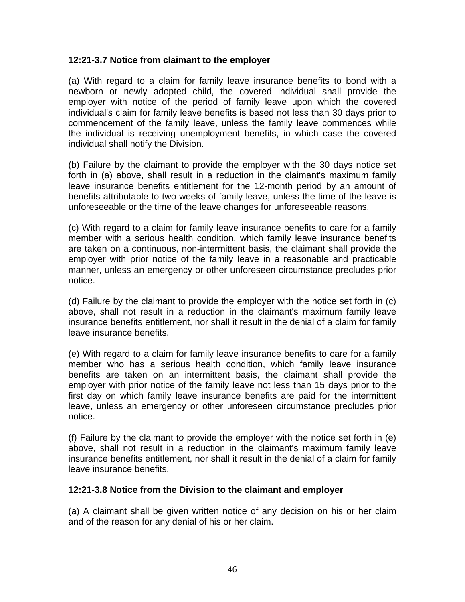#### **12:21-3.7 Notice from claimant to the employer**

(a) With regard to a claim for family leave insurance benefits to bond with a newborn or newly adopted child, the covered individual shall provide the employer with notice of the period of family leave upon which the covered individual's claim for family leave benefits is based not less than 30 days prior to commencement of the family leave, unless the family leave commences while the individual is receiving unemployment benefits, in which case the covered individual shall notify the Division.

(b) Failure by the claimant to provide the employer with the 30 days notice set forth in (a) above, shall result in a reduction in the claimant's maximum family leave insurance benefits entitlement for the 12-month period by an amount of benefits attributable to two weeks of family leave, unless the time of the leave is unforeseeable or the time of the leave changes for unforeseeable reasons.

(c) With regard to a claim for family leave insurance benefits to care for a family member with a serious health condition, which family leave insurance benefits are taken on a continuous, non-intermittent basis, the claimant shall provide the employer with prior notice of the family leave in a reasonable and practicable manner, unless an emergency or other unforeseen circumstance precludes prior notice.

(d) Failure by the claimant to provide the employer with the notice set forth in (c) above, shall not result in a reduction in the claimant's maximum family leave insurance benefits entitlement, nor shall it result in the denial of a claim for family leave insurance benefits.

(e) With regard to a claim for family leave insurance benefits to care for a family member who has a serious health condition, which family leave insurance benefits are taken on an intermittent basis, the claimant shall provide the employer with prior notice of the family leave not less than 15 days prior to the first day on which family leave insurance benefits are paid for the intermittent leave, unless an emergency or other unforeseen circumstance precludes prior notice.

(f) Failure by the claimant to provide the employer with the notice set forth in (e) above, shall not result in a reduction in the claimant's maximum family leave insurance benefits entitlement, nor shall it result in the denial of a claim for family leave insurance benefits.

#### **12:21-3.8 Notice from the Division to the claimant and employer**

(a) A claimant shall be given written notice of any decision on his or her claim and of the reason for any denial of his or her claim.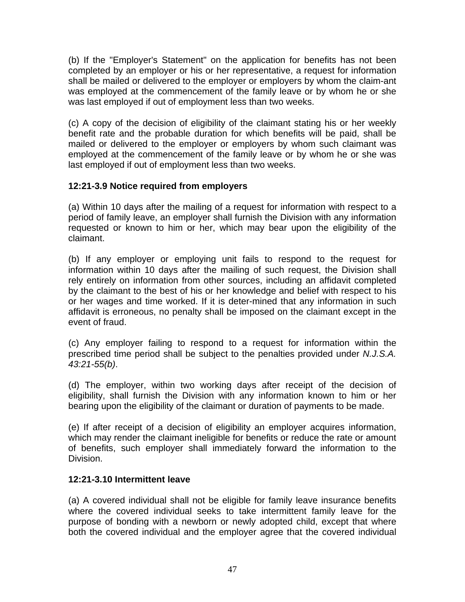(b) If the "Employer's Statement" on the application for benefits has not been completed by an employer or his or her representative, a request for information shall be mailed or delivered to the employer or employers by whom the claim-ant was employed at the commencement of the family leave or by whom he or she was last employed if out of employment less than two weeks.

(c) A copy of the decision of eligibility of the claimant stating his or her weekly benefit rate and the probable duration for which benefits will be paid, shall be mailed or delivered to the employer or employers by whom such claimant was employed at the commencement of the family leave or by whom he or she was last employed if out of employment less than two weeks.

## **12:21-3.9 Notice required from employers**

(a) Within 10 days after the mailing of a request for information with respect to a period of family leave, an employer shall furnish the Division with any information requested or known to him or her, which may bear upon the eligibility of the claimant.

(b) If any employer or employing unit fails to respond to the request for information within 10 days after the mailing of such request, the Division shall rely entirely on information from other sources, including an affidavit completed by the claimant to the best of his or her knowledge and belief with respect to his or her wages and time worked. If it is deter-mined that any information in such affidavit is erroneous, no penalty shall be imposed on the claimant except in the event of fraud.

(c) Any employer failing to respond to a request for information within the prescribed time period shall be subject to the penalties provided under *N.J.S.A. 43:21-55(b)*.

(d) The employer, within two working days after receipt of the decision of eligibility, shall furnish the Division with any information known to him or her bearing upon the eligibility of the claimant or duration of payments to be made.

(e) If after receipt of a decision of eligibility an employer acquires information, which may render the claimant ineligible for benefits or reduce the rate or amount of benefits, such employer shall immediately forward the information to the Division.

#### **12:21-3.10 Intermittent leave**

(a) A covered individual shall not be eligible for family leave insurance benefits where the covered individual seeks to take intermittent family leave for the purpose of bonding with a newborn or newly adopted child, except that where both the covered individual and the employer agree that the covered individual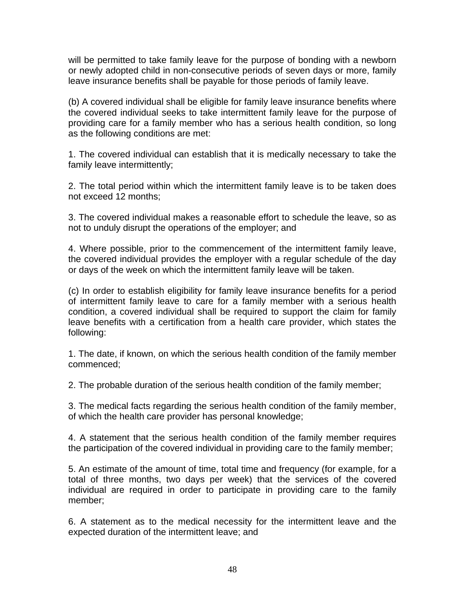will be permitted to take family leave for the purpose of bonding with a newborn or newly adopted child in non-consecutive periods of seven days or more, family leave insurance benefits shall be payable for those periods of family leave.

(b) A covered individual shall be eligible for family leave insurance benefits where the covered individual seeks to take intermittent family leave for the purpose of providing care for a family member who has a serious health condition, so long as the following conditions are met:

1. The covered individual can establish that it is medically necessary to take the family leave intermittently;

2. The total period within which the intermittent family leave is to be taken does not exceed 12 months;

3. The covered individual makes a reasonable effort to schedule the leave, so as not to unduly disrupt the operations of the employer; and

4. Where possible, prior to the commencement of the intermittent family leave, the covered individual provides the employer with a regular schedule of the day or days of the week on which the intermittent family leave will be taken.

(c) In order to establish eligibility for family leave insurance benefits for a period of intermittent family leave to care for a family member with a serious health condition, a covered individual shall be required to support the claim for family leave benefits with a certification from a health care provider, which states the following:

1. The date, if known, on which the serious health condition of the family member commenced;

2. The probable duration of the serious health condition of the family member;

3. The medical facts regarding the serious health condition of the family member, of which the health care provider has personal knowledge;

4. A statement that the serious health condition of the family member requires the participation of the covered individual in providing care to the family member;

5. An estimate of the amount of time, total time and frequency (for example, for a total of three months, two days per week) that the services of the covered individual are required in order to participate in providing care to the family member;

6. A statement as to the medical necessity for the intermittent leave and the expected duration of the intermittent leave; and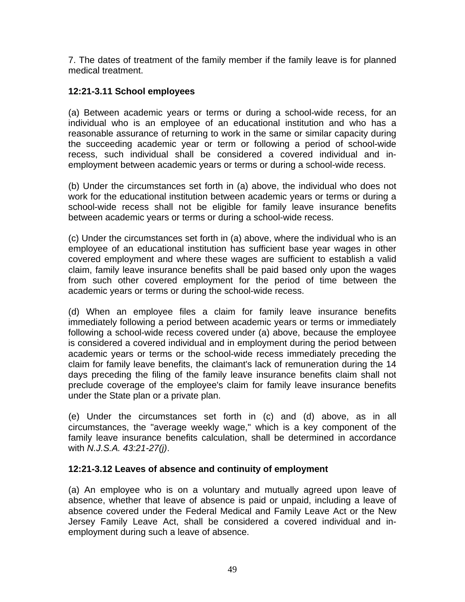7. The dates of treatment of the family member if the family leave is for planned medical treatment.

## **12:21-3.11 School employees**

(a) Between academic years or terms or during a school-wide recess, for an individual who is an employee of an educational institution and who has a reasonable assurance of returning to work in the same or similar capacity during the succeeding academic year or term or following a period of school-wide recess, such individual shall be considered a covered individual and inemployment between academic years or terms or during a school-wide recess.

(b) Under the circumstances set forth in (a) above, the individual who does not work for the educational institution between academic years or terms or during a school-wide recess shall not be eligible for family leave insurance benefits between academic years or terms or during a school-wide recess.

(c) Under the circumstances set forth in (a) above, where the individual who is an employee of an educational institution has sufficient base year wages in other covered employment and where these wages are sufficient to establish a valid claim, family leave insurance benefits shall be paid based only upon the wages from such other covered employment for the period of time between the academic years or terms or during the school-wide recess.

(d) When an employee files a claim for family leave insurance benefits immediately following a period between academic years or terms or immediately following a school-wide recess covered under (a) above, because the employee is considered a covered individual and in employment during the period between academic years or terms or the school-wide recess immediately preceding the claim for family leave benefits, the claimant's lack of remuneration during the 14 days preceding the filing of the family leave insurance benefits claim shall not preclude coverage of the employee's claim for family leave insurance benefits under the State plan or a private plan.

(e) Under the circumstances set forth in (c) and (d) above, as in all circumstances, the "average weekly wage," which is a key component of the family leave insurance benefits calculation, shall be determined in accordance with *N.J.S.A. 43:21-27(j)*.

#### **12:21-3.12 Leaves of absence and continuity of employment**

(a) An employee who is on a voluntary and mutually agreed upon leave of absence, whether that leave of absence is paid or unpaid, including a leave of absence covered under the Federal Medical and Family Leave Act or the New Jersey Family Leave Act, shall be considered a covered individual and inemployment during such a leave of absence.